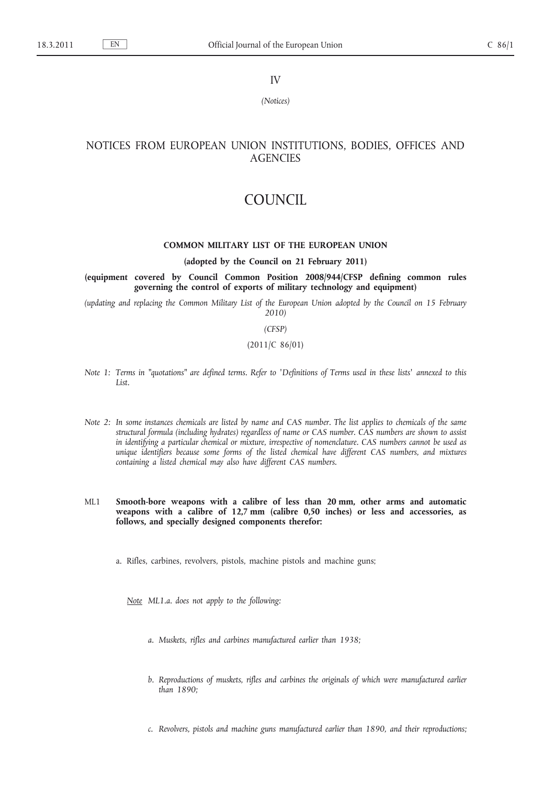IV

*(Notices)*

# NOTICES FROM EUROPEAN UNION INSTITUTIONS, BODIES, OFFICES AND **AGENCIES**

# COUNCIL

# **COMMON MILITARY LIST OF THE EUROPEAN UNION**

#### **(adopted by the Council on 21 February 2011)**

**(equipment covered by Council Common Position 2008/944/CFSP defining common rules governing the control of exports of military technology and equipment)**

*(updating and replacing the Common Military List of the European Union adopted by the Council on 15 February 2010)*

## *(CFSP)*

# (2011/C 86/01)

- *Note 1: Terms in ″quotations ″ are defined terms. Refer to ′Definitions of Terms used in these lists′ annexed to this List.*
- *Note 2: In some instances chemicals are listed by name and CAS number. The list applies to chemicals of the same structural formula (including hydrates) regardless of name or CAS number. CAS numbers are shown to assist in identifying a particular chemical or mixture, irrespective of nomenclature. CAS numbers cannot be used as unique identifiers because some forms of the listed chemical have different CAS numbers, and mixtures containing a listed chemical may also have different CAS numbers.*
- ML1 **Smooth-bore weapons with a calibre of less than 20 mm, other arms and automatic weapons with a calibre of 12,7 mm (calibre 0,50 inches) or less and accessories, as follows, and specially designed components therefor:**

a. Rifles, carbines, revolvers, pistols, machine pistols and machine guns;

*Note ML1.a. does not apply to the following:*

- *a. Muskets, rifles and carbines manufactured earlier than 1938;*
- *b. Reproductions of muskets, rifles and carbines the originals of which were manufactured earlier than 1890;*
- *c. Revolvers, pistols and machine guns manufactured earlier than 1890, and their reproductions;*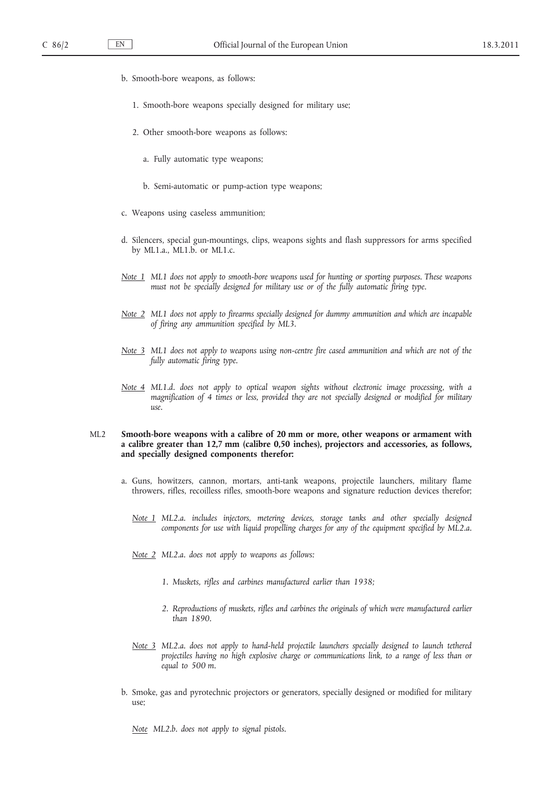- b. Smooth-bore weapons, as follows:
	- 1. Smooth-bore weapons specially designed for military use;
	- 2. Other smooth-bore weapons as follows:
		- a. Fully automatic type weapons;
		- b. Semi-automatic or pump-action type weapons;
- c. Weapons using caseless ammunition;
- d. Silencers, special gun-mountings, clips, weapons sights and flash suppressors for arms specified by ML1.a., ML1.b. or ML1.c.
- *Note 1 ML1 does not apply to smooth-bore weapons used for hunting or sporting purposes. These weapons must not be specially designed for military use or of the fully automatic firing type.*
- *Note 2 ML1 does not apply to firearms specially designed for dummy ammunition and which are incapable of firing any ammunition specified by ML3.*
- *Note 3 ML1 does not apply to weapons using non-centre fire cased ammunition and which are not of the fully automatic firing type.*
- *Note 4 ML1.d. does not apply to optical weapon sights without electronic image processing, with a magnification of 4 times or less, provided they are not specially designed or modified for military use.*

## ML2 **Smooth-bore weapons with a calibre of 20 mm or more, other weapons or armament with a calibre greater than 12,7 mm (calibre 0,50 inches), projectors and accessories, as follows, and specially designed components therefor:**

- a. Guns, howitzers, cannon, mortars, anti-tank weapons, projectile launchers, military flame throwers, rifles, recoilless rifles, smooth-bore weapons and signature reduction devices therefor;
	- *Note 1 ML2.a. includes injectors, metering devices, storage tanks and other specially designed components for use with liquid propelling charges for any of the equipment specified by ML2.a.*
	- *Note 2 ML2.a. does not apply to weapons as follows:*
		- *1. Muskets, rifles and carbines manufactured earlier than 1938;*
		- *2. Reproductions of muskets, rifles and carbines the originals of which were manufactured earlier than 1890.*
	- *Note 3 ML2.a. does not apply to hand-held projectile launchers specially designed to launch tethered projectiles having no high explosive charge or communications link, to a range of less than or equal to 500 m.*
- b. Smoke, gas and pyrotechnic projectors or generators, specially designed or modified for military use;

*Note ML2.b. does not apply to signal pistols.*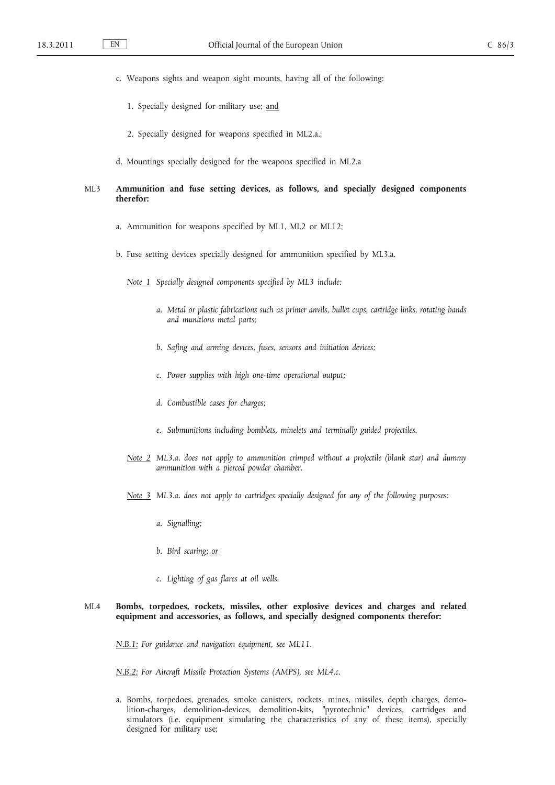- c. Weapons sights and weapon sight mounts, having all of the following:
	- 1. Specially designed for military use; and
	- 2. Specially designed for weapons specified in ML2.a.;
- d. Mountings specially designed for the weapons specified in ML2.a

# ML3 **Ammunition and fuse setting devices, as follows, and specially designed components therefor:**

- a. Ammunition for weapons specified by ML1, ML2 or ML12;
- b. Fuse setting devices specially designed for ammunition specified by ML3.a.

*Note 1 Specially designed components specified by ML3 include:*

- *a. Metal or plastic fabrications such as primer anvils, bullet cups, cartridge links, rotating bands and munitions metal parts;*
- *b. Safing and arming devices, fuses, sensors and initiation devices;*
- *c. Power supplies with high one-time operational output;*
- *d. Combustible cases for charges;*
- *e. Submunitions including bomblets, minelets and terminally guided projectiles.*
- *Note 2 ML3.a. does not apply to ammunition crimped without a projectile (blank star) and dummy ammunition with a pierced powder chamber.*
- *Note 3 ML3.a. does not apply to cartridges specially designed for any of the following purposes:*
	- *a. Signalling;*
	- *b. Bird scaring; or*
	- *c. Lighting of gas flares at oil wells.*

## ML4 **Bombs, torpedoes, rockets, missiles, other explosive devices and charges and related equipment and accessories, as follows, and specially designed components therefor:**

*N.B.1: For guidance and navigation equipment, see ML11.*

*N.B.2: For Aircraft Missile Protection Systems (AMPS), see ML4.c.*

a. Bombs, torpedoes, grenades, smoke canisters, rockets, mines, missiles, depth charges, demolition-charges, demolition-devices, demolition-kits, "pyrotechnic" devices, cartridges and simulators (i.e. equipment simulating the characteristics of any of these items), specially designed for military use;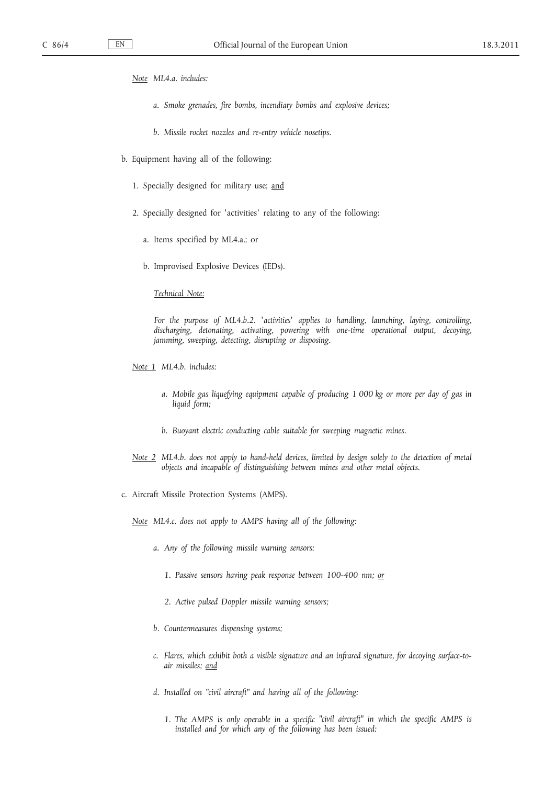- *Note ML4.a. includes:*
	- *a. Smoke grenades, fire bombs, incendiary bombs and explosive devices;*
	- *b. Missile rocket nozzles and re-entry vehicle nosetips.*
- b. Equipment having all of the following:
	- 1. Specially designed for military use; and
	- 2. Specially designed for ′activities′ relating to any of the following:
		- a. Items specified by ML4.a.; or
		- b. Improvised Explosive Devices (IEDs).

*Technical Note:*

*For the purpose of ML4.b.2. ′activities′ applies to handling, launching, laying, controlling, discharging, detonating, activating, powering with one-time operational output, decoying, jamming, sweeping, detecting, disrupting or disposing.*

- *Note 1 ML4.b. includes:*
	- *a. Mobile gas liquefying equipment capable of producing 1 000 kg or more per day of gas in liquid form;*
	- *b. Buoyant electric conducting cable suitable for sweeping magnetic mines.*
- *Note 2 ML4.b. does not apply to hand-held devices, limited by design solely to the detection of metal objects and incapable of distinguishing between mines and other metal objects.*
- c. Aircraft Missile Protection Systems (AMPS).

*Note ML4.c. does not apply to AMPS having all of the following:*

- *a. Any of the following missile warning sensors:*
	- *1. Passive sensors having peak response between 100-400 nm; or*
	- *2. Active pulsed Doppler missile warning sensors;*
- *b. Countermeasures dispensing systems;*
- *c. Flares, which exhibit both a visible signature and an infrared signature, for decoying surface-toair missiles; and*
- *d. Installed on ″civil aircraft ″ and having all of the following:*
	- *1. The AMPS is only operable in a specific ″civil aircraft ″ in which the specific AMPS is installed and for which any of the following has been issued:*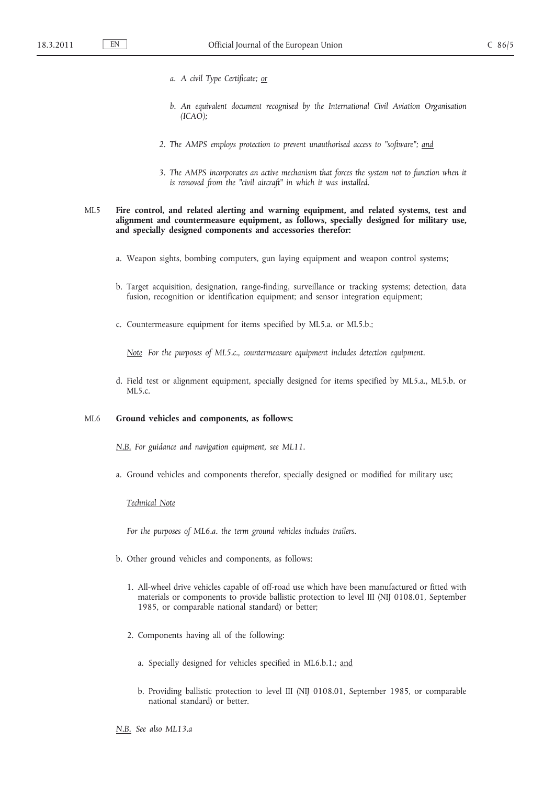- *a. A civil Type Certificate; or*
- *b. An equivalent document recognised by the International Civil Aviation Organisation (ICAO);*
- *2. The AMPS employs protection to prevent unauthorised access to ″software ″; and*
- *3. The AMPS incorporates an active mechanism that forces the system not to function when it is removed from the "civil aircraft" in which it was installed.*

# ML5 **Fire control, and related alerting and warning equipment, and related systems, test and alignment and countermeasure equipment, as follows, specially designed for military use, and specially designed components and accessories therefor:**

- a. Weapon sights, bombing computers, gun laying equipment and weapon control systems;
- b. Target acquisition, designation, range-finding, surveillance or tracking systems; detection, data fusion, recognition or identification equipment; and sensor integration equipment;
- c. Countermeasure equipment for items specified by ML5.a. or ML5.b.;

*Note For the purposes of ML5.c., countermeasure equipment includes detection equipment.*

d. Field test or alignment equipment, specially designed for items specified by ML5.a., ML5.b. or  $MI<sub>5</sub>c$ 

### ML6 **Ground vehicles and components, as follows:**

*N.B. For guidance and navigation equipment, see ML11.*

a. Ground vehicles and components therefor, specially designed or modified for military use;

#### *Technical Note*

*For the purposes of ML6.a. the term ground vehicles includes trailers.*

- b. Other ground vehicles and components, as follows:
	- 1. All-wheel drive vehicles capable of off-road use which have been manufactured or fitted with materials or components to provide ballistic protection to level III (NIJ 0108.01, September 1985, or comparable national standard) or better;
	- 2. Components having all of the following:
		- a. Specially designed for vehicles specified in ML6.b.1.; and
		- b. Providing ballistic protection to level III (NIJ 0108.01, September 1985, or comparable national standard) or better.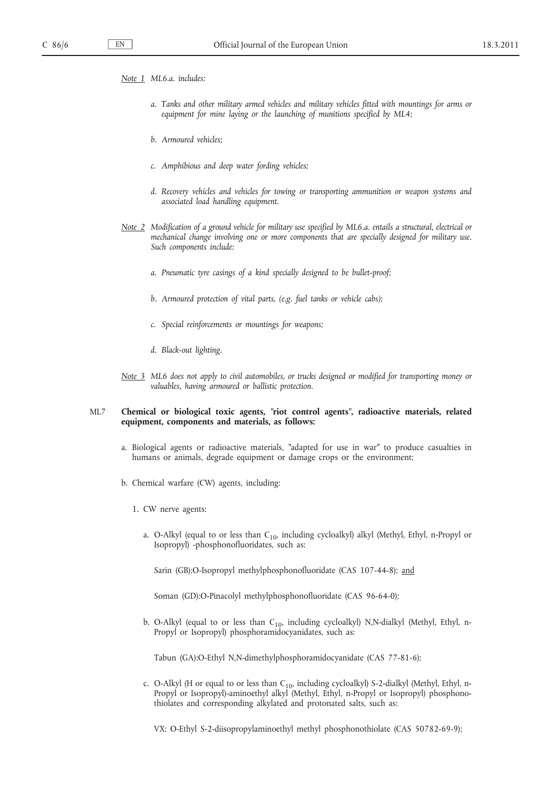*Note 1 ML6.a. includes:*

- *a. Tanks and other military armed vehicles and military vehicles fitted with mountings for arms or equipment for mine laying or the launching of munitions specified by ML4;*
- *b. Armoured vehicles;*
- *c. Amphibious and deep water fording vehicles;*
- *d. Recovery vehicles and vehicles for towing or transporting ammunition or weapon systems and associated load handling equipment.*
- *Note 2 Modification of a ground vehicle for military use specified by ML6.a. entails a structural, electrical or mechanical change involving one or more components that are specially designed for military use. Such components include:*
	- *a. Pneumatic tyre casings of a kind specially designed to be bullet-proof;*
	- *b. Armoured protection of vital parts, (e.g. fuel tanks or vehicle cabs);*
	- *c. Special reinforcements or mountings for weapons;*
	- *d. Black-out lighting.*
- *Note 3 ML6 does not apply to civil automobiles, or trucks designed or modified for transporting money or valuables, having armoured or ballistic protection.*

## ML7 **Chemical or biological toxic agents, ″riot control agents ″, radioactive materials, related equipment, components and materials, as follows:**

- a. Biological agents or radioactive materials, "adapted for use in war" to produce casualties in humans or animals, degrade equipment or damage crops or the environment;
- b. Chemical warfare (CW) agents, including:
	- 1. CW nerve agents:
		- a. O-Alkyl (equal to or less than  $C_{10}$ , including cycloalkyl) alkyl (Methyl, Ethyl, n-Propyl or Isopropyl) -phosphonofluoridates, such as:

Sarin (GB):O-Isopropyl methylphosphonofluoridate (CAS 107-44-8); and

Soman (GD):O-Pinacolyl methylphosphonofluoridate (CAS 96-64-0);

b. O-Alkyl (equal to or less than  $C_{10}$ , including cycloalkyl) N,N-dialkyl (Methyl, Ethyl, n-Propyl or Isopropyl) phosphoramidocyanidates, such as:

Tabun (GA):O-Ethyl N,N-dimethylphosphoramidocyanidate (CAS 77-81-6);

c. O-Alkyl (H or equal to or less than  $C_{10}$ , including cycloalkyl) S-2-dialkyl (Methyl, Ethyl, n-Propyl or Isopropyl)-aminoethyl alkyl (Methyl, Ethyl, n-Propyl or Isopropyl) phosphonothiolates and corresponding alkylated and protonated salts, such as:

VX: O-Ethyl S-2-diisopropylaminoethyl methyl phosphonothiolate (CAS 50782-69-9);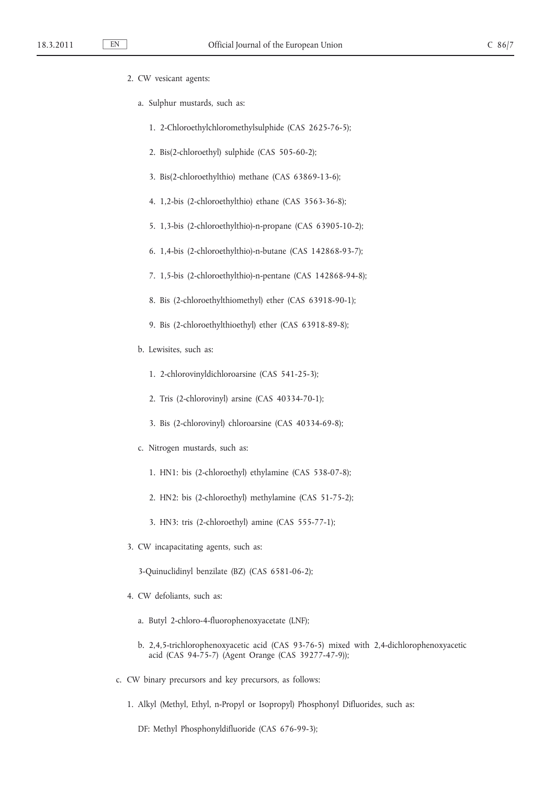- 2. CW vesicant agents:
	- a. Sulphur mustards, such as:
		- 1. 2-Chloroethylchloromethylsulphide (CAS 2625-76-5);
		- 2. Bis(2-chloroethyl) sulphide (CAS 505-60-2);
		- 3. Bis(2-chloroethylthio) methane (CAS 63869-13-6);
		- 4. 1,2-bis (2-chloroethylthio) ethane (CAS 3563-36-8);
		- 5. 1,3-bis (2-chloroethylthio)-n-propane (CAS 63905-10-2);
		- 6. 1,4-bis (2-chloroethylthio)-n-butane (CAS 142868-93-7);
		- 7. 1,5-bis (2-chloroethylthio)-n-pentane (CAS 142868-94-8);
		- 8. Bis (2-chloroethylthiomethyl) ether (CAS 63918-90-1);
		- 9. Bis (2-chloroethylthioethyl) ether (CAS 63918-89-8);
	- b. Lewisites, such as:
		- 1. 2-chlorovinyldichloroarsine (CAS 541-25-3);
		- 2. Tris (2-chlorovinyl) arsine (CAS 40334-70-1);
		- 3. Bis (2-chlorovinyl) chloroarsine (CAS 40334-69-8);
	- c. Nitrogen mustards, such as:
		- 1. HN1: bis (2-chloroethyl) ethylamine (CAS 538-07-8);
		- 2. HN2: bis (2-chloroethyl) methylamine (CAS 51-75-2);
		- 3. HN3: tris (2-chloroethyl) amine (CAS 555-77-1);
- 3. CW incapacitating agents, such as:

3-Quinuclidinyl benzilate (BZ) (CAS 6581-06-2);

- 4. CW defoliants, such as:
	- a. Butyl 2-chloro-4-fluorophenoxyacetate (LNF);
	- b. 2,4,5-trichlorophenoxyacetic acid (CAS 93-76-5) mixed with 2,4-dichlorophenoxyacetic acid (CAS 94-75-7) (Agent Orange (CAS 39277-47-9));
- c. CW binary precursors and key precursors, as follows:
	- 1. Alkyl (Methyl, Ethyl, n-Propyl or Isopropyl) Phosphonyl Difluorides, such as:

DF: Methyl Phosphonyldifluoride (CAS 676-99-3);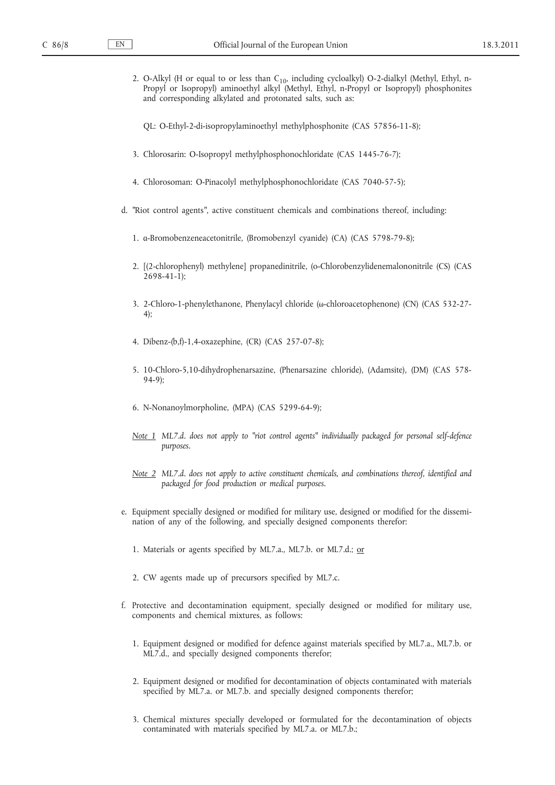| 2. O-Alkyl (H or equal to or less than C <sub>10</sub> , including cycloalkyl) O-2-dialkyl (Methyl, Ethyl, n-<br>Propyl or Isopropyl) aminoethyl alkyl (Methyl, Ethyl, n-Propyl or Isopropyl) phosphonites<br>and corresponding alkylated and protonated salts, such as: |
|--------------------------------------------------------------------------------------------------------------------------------------------------------------------------------------------------------------------------------------------------------------------------|
| QL: O-Ethyl-2-di-isopropylaminoethyl methylphosphonite (CAS 57856-11-8);                                                                                                                                                                                                 |
| 3. Chlorosarin: O-Isopropyl methylphosphonochloridate (CAS 1445-76-7);                                                                                                                                                                                                   |
| 4. Chlorosoman: O-Pinacolyl methylphosphonochloridate (CAS 7040-57-5);                                                                                                                                                                                                   |
| d. "Riot control agents", active constituent chemicals and combinations thereof, including:                                                                                                                                                                              |
| 1. a-Bromobenzeneacetonitrile, (Bromobenzyl cyanide) (CA) (CAS 5798-79-8);                                                                                                                                                                                               |
| 2. [(2-chlorophenyl) methylene] propanedinitrile, (o-Chlorobenzylidenemalononitrile (CS) (CAS<br>$2698 - 41 - 1$ ;                                                                                                                                                       |
| 3. 2-Chloro-1-phenylethanone, Phenylacyl chloride (ω-chloroacetophenone) (CN) (CAS 532-27-<br>4);                                                                                                                                                                        |
| 4. Dibenz-(b,f)-1,4-oxazephine, (CR) (CAS 257-07-8);                                                                                                                                                                                                                     |
| 5. 10-Chloro-5,10-dihydrophenarsazine, (Phenarsazine chloride), (Adamsite), (DM) (CAS 578-<br>$94-9;$                                                                                                                                                                    |
| 6. N-Nonanoylmorpholine, (MPA) (CAS 5299-64-9);                                                                                                                                                                                                                          |
| Note 1 ML7.d. does not apply to "riot control agents" individually packaged for personal self-defence<br>purposes.                                                                                                                                                       |
| Note 2 ML7.d. does not apply to active constituent chemicals, and combinations thereof, identified and<br>packaged for food production or medical purposes.                                                                                                              |
| e. Equipment specially designed or modified for military use, designed or modified for the dissemi-<br>nation of any of the following, and specially designed components therefor:                                                                                       |
| 1. Materials or agents specified by ML7.a., ML7.b. or ML7.d.; or                                                                                                                                                                                                         |
| 2. CW agents made up of precursors specified by ML7.c.                                                                                                                                                                                                                   |

- f. Protective and decontamination equipment, specially designed or modified for military use, components and chemical mixtures, as follows:
	- 1. Equipment designed or modified for defence against materials specified by ML7.a., ML7.b. or ML7.d., and specially designed components therefor;
	- 2. Equipment designed or modified for decontamination of objects contaminated with materials specified by ML7.a. or ML7.b. and specially designed components therefor;
	- 3. Chemical mixtures specially developed or formulated for the decontamination of objects contaminated with materials specified by ML7.a. or ML7.b.;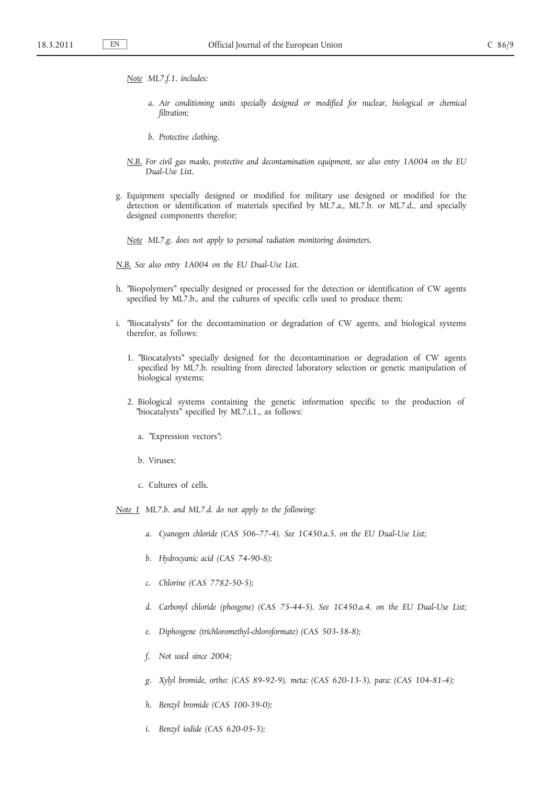- *Note ML7.f.1. includes:*
	- *a. Air conditioning units specially designed or modified for nuclear, biological or chemical filtration;*
	- *b. Protective clothing.*
- *N.B. For civil gas masks, protective and decontamination equipment, see also entry 1A004 on the EU Dual-Use List.*
- g. Equipment specially designed or modified for military use designed or modified for the detection or identification of materials specified by ML7.a., ML7.b. or ML7.d., and specially designed components therefor;

*Note ML7.g. does not apply to personal radiation monitoring dosimeters.*

*N.B. See also entry 1A004 on the EU Dual-Use List.*

- h. "Biopolymers" specially designed or processed for the detection or identification of CW agents specified by ML7.b., and the cultures of specific cells used to produce them;
- i. "Biocatalysts" for the decontamination or degradation of CW agents, and biological systems therefor, as follows:
	- 1. "Biocatalysts" specially designed for the decontamination or degradation of CW agents specified by ML7.b. resulting from directed laboratory selection or genetic manipulation of biological systems;
	- 2. Biological systems containing the genetic information specific to the production of "biocatalysts" specified by ML7.i.1., as follows:
		- a. ″Expression vectors ″;
		- b. Viruses;
		- c. Cultures of cells.

*Note 1 ML7.b. and ML7.d. do not apply to the following:*

- *a. Cyanogen chloride (CAS 506-77-4). See 1C450.a.5. on the EU Dual-Use List;*
- *b. Hydrocyanic acid (CAS 74-90-8);*
- *c. Chlorine (CAS 7782-50-5);*
- *d. Carbonyl chloride (phosgene) (CAS 75-44-5). See 1C450.a.4. on the EU Dual-Use List;*
- *e. Diphosgene (trichloromethyl-chloroformate) (CAS 503-38-8);*
- *f. Not used since 2004;*
- *g. Xylyl bromide, ortho: (CAS 89-92-9), meta: (CAS 620-13-3), para: (CAS 104-81-4);*
- *h. Benzyl bromide (CAS 100-39-0);*
- *i. Benzyl iodide (CAS 620-05-3);*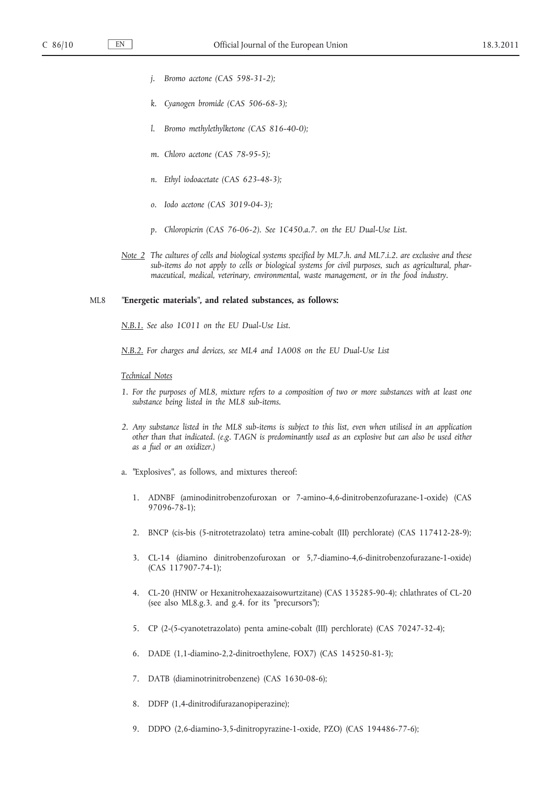- *j. Bromo acetone (CAS 598-31-2);*
- *k. Cyanogen bromide (CAS 506-68-3);*
- *l. Bromo methylethylketone (CAS 816-40-0);*
- *m. Chloro acetone (CAS 78-95-5);*
- *n. Ethyl iodoacetate (CAS 623-48-3);*
- *o. Iodo acetone (CAS 3019-04-3);*
- *p. Chloropicrin (CAS 76-06-2). See 1C450.a.7. on the EU Dual-Use List.*
- *Note 2 The cultures of cells and biological systems specified by ML7.h. and ML7.i.2. are exclusive and these sub-items do not apply to cells or biological systems for civil purposes, such as agricultural, pharmaceutical, medical, veterinary, environmental, waste management, or in the food industry.*

#### ML8 **″Energetic materials ″, and related substances, as follows:**

*N.B.1. See also 1C011 on the EU Dual-Use List.*

*N.B.2. For charges and devices, see ML4 and 1A008 on the EU Dual-Use List*

#### *Technical Notes*

- *1. For the purposes of ML8, mixture refers to a composition of two or more substances with at least one substance being listed in the ML8 sub-items.*
- *2. Any substance listed in the ML8 sub-items is subject to this list, even when utilised in an application other than that indicated. (e.g. TAGN is predominantly used as an explosive but can also be used either as a fuel or an oxidizer.)*
- a. "Explosives", as follows, and mixtures thereof:
	- 1. ADNBF (aminodinitrobenzofuroxan or 7-amino-4,6-dinitrobenzofurazane-1-oxide) (CAS 97096-78-1);
	- 2. BNCP (cis-bis (5-nitrotetrazolato) tetra amine-cobalt (III) perchlorate) (CAS 117412-28-9);
	- 3. CL-14 (diamino dinitrobenzofuroxan or 5,7-diamino-4,6-dinitrobenzofurazane-1-oxide) (CAS 117907-74-1);
	- 4. CL-20 (HNIW or Hexanitrohexaazaisowurtzitane) (CAS 135285-90-4); chlathrates of CL-20 (see also ML8.g.3. and g.4. for its "precursors");
	- 5. CP (2-(5-cyanotetrazolato) penta amine-cobalt (III) perchlorate) (CAS 70247-32-4);
	- 6. DADE (1,1-diamino-2,2-dinitroethylene, FOX7) (CAS 145250-81-3);
	- 7. DATB (diaminotrinitrobenzene) (CAS 1630-08-6);
	- 8. DDFP (1,4-dinitrodifurazanopiperazine);
	- 9. DDPO (2,6-diamino-3,5-dinitropyrazine-1-oxide, PZO) (CAS 194486-77-6);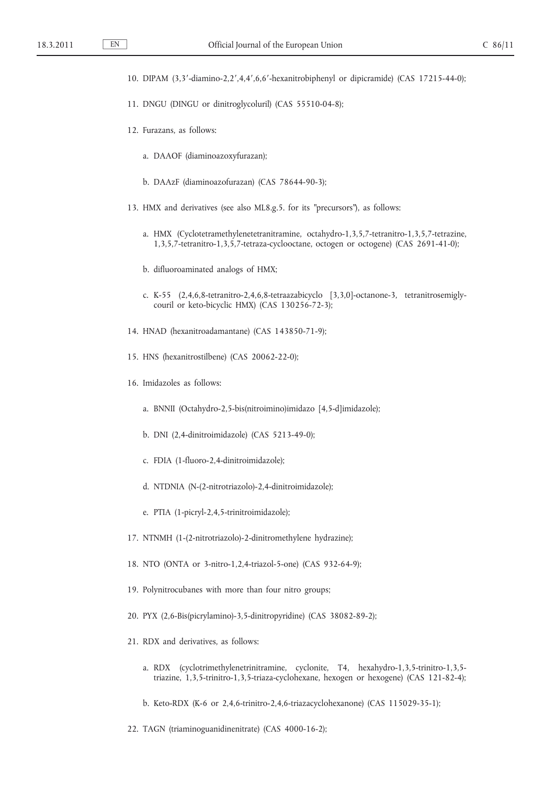- 10. DIPAM (3,3′-diamino-2,2′,4,4′,6,6′-hexanitrobiphenyl or dipicramide) (CAS 17215-44-0);
- 11. DNGU (DINGU or dinitroglycoluril) (CAS 55510-04-8);
- 12. Furazans, as follows:
	- a. DAAOF (diaminoazoxyfurazan);
	- b. DAAzF (diaminoazofurazan) (CAS 78644-90-3);
- 13. HMX and derivatives (see also ML8.g.5. for its "precursors"), as follows:
	- a. HMX (Cyclotetramethylenetetranitramine, octahydro-1,3,5,7-tetranitro-1,3,5,7-tetrazine, 1,3,5,7-tetranitro-1,3,5,7-tetraza-cyclooctane, octogen or octogene) (CAS 2691-41-0);
	- b. difluoroaminated analogs of HMX;
	- c. K-55 (2,4,6,8-tetranitro-2,4,6,8-tetraazabicyclo [3,3,0]-octanone-3, tetranitrosemiglycouril or keto-bicyclic HMX) (CAS 130256-72-3);
- 14. HNAD (hexanitroadamantane) (CAS 143850-71-9);
- 15. HNS (hexanitrostilbene) (CAS 20062-22-0);
- 16. Imidazoles as follows:
	- a. BNNII (Octahydro-2,5-bis(nitroimino)imidazo [4,5-d]imidazole);
	- b. DNI (2,4-dinitroimidazole) (CAS 5213-49-0);
	- c. FDIA (1-fluoro-2,4-dinitroimidazole);
	- d. NTDNIA (N-(2-nitrotriazolo)-2,4-dinitroimidazole);
	- e. PTIA (1-picryl-2,4,5-trinitroimidazole);
- 17. NTNMH (1-(2-nitrotriazolo)-2-dinitromethylene hydrazine);
- 18. NTO (ONTA or 3-nitro-1,2,4-triazol-5-one) (CAS 932-64-9);
- 19. Polynitrocubanes with more than four nitro groups;
- 20. PYX (2,6-Bis(picrylamino)-3,5-dinitropyridine) (CAS 38082-89-2);
- 21. RDX and derivatives, as follows:
	- a. RDX (cyclotrimethylenetrinitramine, cyclonite, T4, hexahydro-1,3,5-trinitro-1,3,5 triazine, 1,3,5-trinitro-1,3,5-triaza-cyclohexane, hexogen or hexogene) (CAS 121-82-4);
	- b. Keto-RDX (K-6 or 2,4,6-trinitro-2,4,6-triazacyclohexanone) (CAS 115029-35-1);
- 22. TAGN (triaminoguanidinenitrate) (CAS 4000-16-2);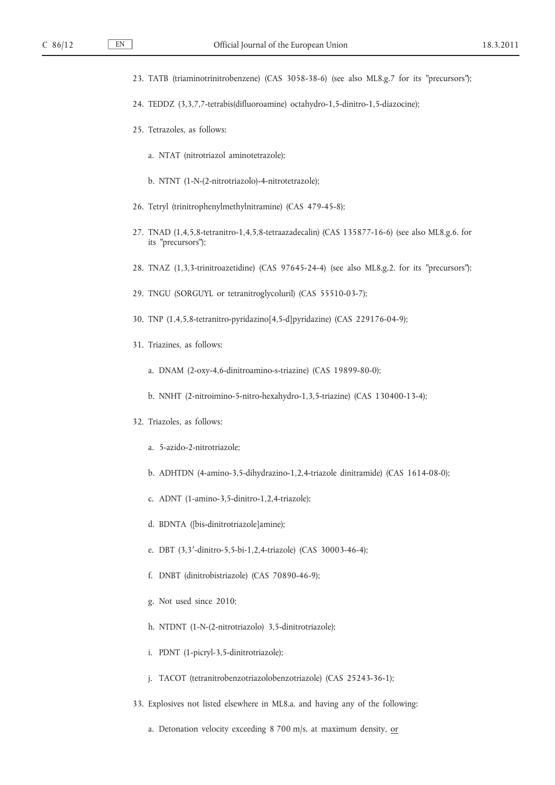- 23. TATB (triaminotrinitrobenzene) (CAS 3058-38-6) (see also ML8.g.7 for its "precursors");
- 24. TEDDZ (3,3,7,7-tetrabis(difluoroamine) octahydro-1,5-dinitro-1,5-diazocine);
- 25. Tetrazoles, as follows:
	- a. NTAT (nitrotriazol aminotetrazole);
	- b. NTNT (1-N-(2-nitrotriazolo)-4-nitrotetrazole);
- 26. Tetryl (trinitrophenylmethylnitramine) (CAS 479-45-8);
- 27. TNAD (1,4,5,8-tetranitro-1,4,5,8-tetraazadecalin) (CAS 135877-16-6) (see also ML8.g.6. for its "precursors");
- 28. TNAZ (1,3,3-trinitroazetidine) (CAS 97645-24-4) (see also ML8.g.2. for its "precursors");
- 29. TNGU (SORGUYL or tetranitroglycoluril) (CAS 55510-03-7);
- 30. TNP (1,4,5,8-tetranitro-pyridazino[4,5-d]pyridazine) (CAS 229176-04-9);
- 31. Triazines, as follows:
	- a. DNAM (2-oxy-4,6-dinitroamino-s-triazine) (CAS 19899-80-0);
	- b. NNHT (2-nitroimino-5-nitro-hexahydro-1,3,5-triazine) (CAS 130400-13-4);
- 32. Triazoles, as follows:
	- a. 5-azido-2-nitrotriazole;
	- b. ADHTDN (4-amino-3,5-dihydrazino-1,2,4-triazole dinitramide) (CAS 1614-08-0);
	- c. ADNT (1-amino-3,5-dinitro-1,2,4-triazole);
	- d. BDNTA ([bis-dinitrotriazole]amine);
	- e. DBT (3,3′-dinitro-5,5-bi-1,2,4-triazole) (CAS 30003-46-4);
	- f. DNBT (dinitrobistriazole) (CAS 70890-46-9);
	- g. Not used since 2010;
	- h. NTDNT (1-N-(2-nitrotriazolo) 3,5-dinitrotriazole);
	- i. PDNT (1-picryl-3,5-dinitrotriazole);
	- j. TACOT (tetranitrobenzotriazolobenzotriazole) (CAS 25243-36-1);
- 33. Explosives not listed elsewhere in ML8.a. and having any of the following:
	- a. Detonation velocity exceeding  $8700$  m/s, at maximum density, or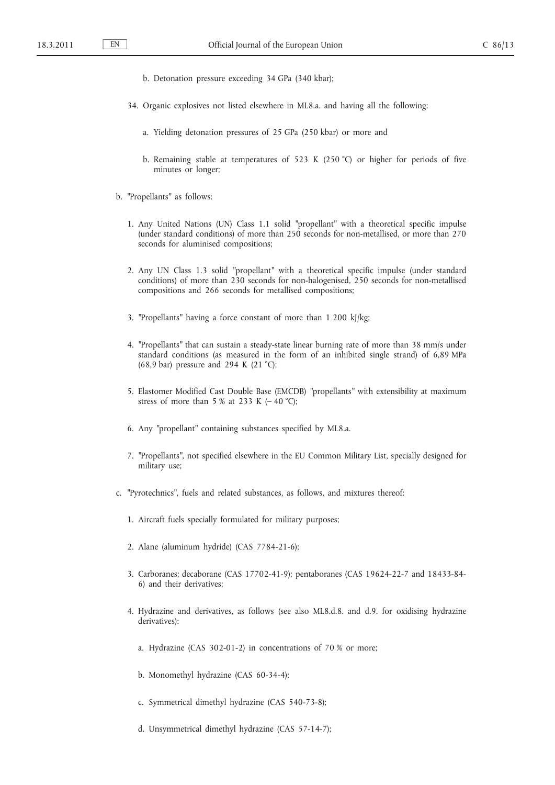- b. Detonation pressure exceeding 34 GPa (340 kbar);
- 34. Organic explosives not listed elsewhere in ML8.a. and having all the following:
	- a. Yielding detonation pressures of 25 GPa (250 kbar) or more and
	- b. Remaining stable at temperatures of 523 K (250 °C) or higher for periods of five minutes or longer;
- b. "Propellants" as follows:
	- 1. Any United Nations (UN) Class 1.1 solid "propellant" with a theoretical specific impulse (under standard conditions) of more than 250 seconds for non-metallised, or more than 270 seconds for aluminised compositions;
	- 2. Any UN Class 1.3 solid "propellant" with a theoretical specific impulse (under standard conditions) of more than 230 seconds for non-halogenised, 250 seconds for non-metallised compositions and 266 seconds for metallised compositions;
	- 3. "Propellants" having a force constant of more than 1 200 kJ/kg;
	- 4. "Propellants" that can sustain a steady-state linear burning rate of more than 38 mm/s under standard conditions (as measured in the form of an inhibited single strand) of 6,89 MPa (68,9 bar) pressure and 294 K (21 °C);
	- 5. Elastomer Modified Cast Double Base (EMCDB) ″propellants ″ with extensibility at maximum stress of more than 5 % at 233 K ( $-$  40 °C);
	- 6. Any "propellant" containing substances specified by ML8.a.
	- 7. ″Propellants ″, not specified elsewhere in the EU Common Military List, specially designed for military use;
- c. ″Pyrotechnics ″, fuels and related substances, as follows, and mixtures thereof:
	- 1. Aircraft fuels specially formulated for military purposes;
	- 2. Alane (aluminum hydride) (CAS 7784-21-6);
	- 3. Carboranes; decaborane (CAS 17702-41-9); pentaboranes (CAS 19624-22-7 and 18433-84- 6) and their derivatives;
	- 4. Hydrazine and derivatives, as follows (see also ML8.d.8. and d.9. for oxidising hydrazine derivatives):
		- a. Hydrazine (CAS 302-01-2) in concentrations of 70 % or more;
		- b. Monomethyl hydrazine (CAS 60-34-4);
		- c. Symmetrical dimethyl hydrazine (CAS 540-73-8);
		- d. Unsymmetrical dimethyl hydrazine (CAS 57-14-7);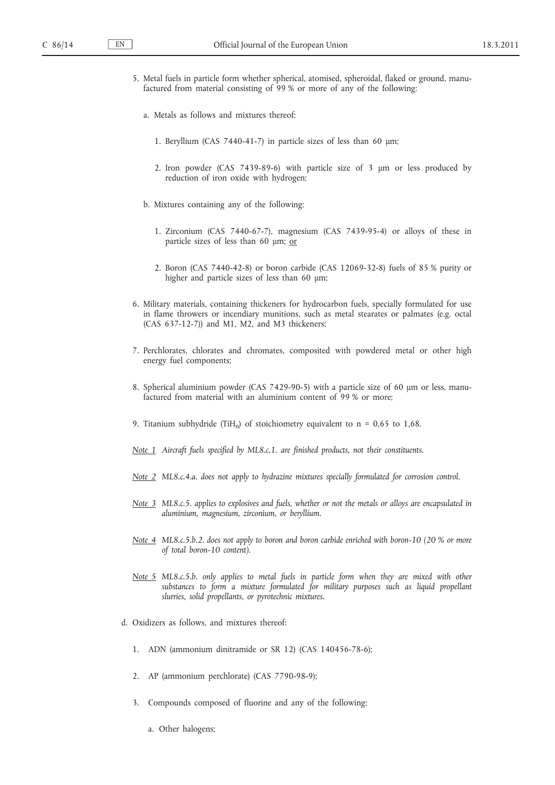- 5. Metal fuels in particle form whether spherical, atomised, spheroidal, flaked or ground, manufactured from material consisting of 99 % or more of any of the following:
	- a. Metals as follows and mixtures thereof:
		- 1. Beryllium (CAS 7440-41-7) in particle sizes of less than 60 μm;
		- 2. Iron powder (CAS 7439-89-6) with particle size of 3 μm or less produced by reduction of iron oxide with hydrogen;
	- b. Mixtures containing any of the following:
		- 1. Zirconium (CAS 7440-67-7), magnesium (CAS 7439-95-4) or alloys of these in particle sizes of less than 60 μm; or
		- 2. Boron (CAS 7440-42-8) or boron carbide (CAS 12069-32-8) fuels of 85 % purity or higher and particle sizes of less than 60 μm;
- 6. Military materials, containing thickeners for hydrocarbon fuels, specially formulated for use in flame throwers or incendiary munitions, such as metal stearates or palmates (e.g. octal (CAS 637-12-7)) and M1, M2, and M3 thickeners;
- 7. Perchlorates, chlorates and chromates, composited with powdered metal or other high energy fuel components;
- 8. Spherical aluminium powder (CAS 7429-90-5) with a particle size of 60 μm or less, manufactured from material with an aluminium content of 99 % or more;
- 9. Titanium subhydride (TiH<sub>n</sub>) of stoichiometry equivalent to  $n = 0.65$  to 1,68.
- *Note 1 Aircraft fuels specified by ML8.c.1. are finished products, not their constituents.*
- *Note 2 ML8.c.4.a. does not apply to hydrazine mixtures specially formulated for corrosion control.*
- *Note 3 ML8.c.5. applies to explosives and fuels, whether or not the metals or alloys are encapsulated in aluminium, magnesium, zirconium, or beryllium.*
- *Note 4 ML8.c.5.b.2. does not apply to boron and boron carbide enriched with boron-10 (20 % or more of total boron-10 content).*
- *Note 5 ML8.c.5.b. only applies to metal fuels in particle form when they are mixed with other substances to form a mixture formulated for military purposes such as liquid propellant slurries, solid propellants, or pyrotechnic mixtures.*
- d. Oxidizers as follows, and mixtures thereof:
	- 1. ADN (ammonium dinitramide or SR 12) (CAS 140456-78-6);
	- 2. AP (ammonium perchlorate) (CAS 7790-98-9);
	- 3. Compounds composed of fluorine and any of the following:
		- a. Other halogens;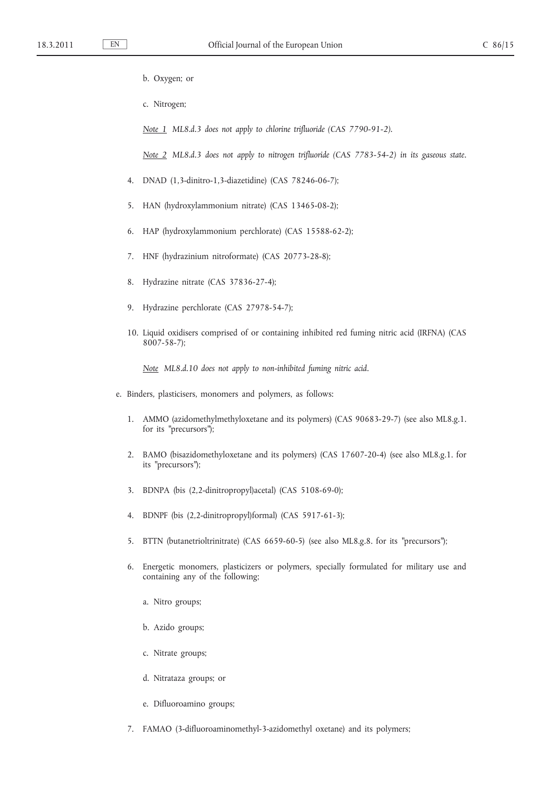- b. Oxygen; or
- c. Nitrogen;
- *Note 1 ML8.d.3 does not apply to chlorine trifluoride (CAS 7790-91-2).*

*Note 2 ML8.d.3 does not apply to nitrogen trifluoride (CAS 7783-54-2) in its gaseous state.*

- 4. DNAD (1,3-dinitro-1,3-diazetidine) (CAS 78246-06-7);
- 5. HAN (hydroxylammonium nitrate) (CAS 13465-08-2);
- 6. HAP (hydroxylammonium perchlorate) (CAS 15588-62-2);
- 7. HNF (hydrazinium nitroformate) (CAS 20773-28-8);
- 8. Hydrazine nitrate (CAS 37836-27-4);
- 9. Hydrazine perchlorate (CAS 27978-54-7);
- 10. Liquid oxidisers comprised of or containing inhibited red fuming nitric acid (IRFNA) (CAS 8007-58-7);

*Note ML8.d.10 does not apply to non-inhibited fuming nitric acid.*

- e. Binders, plasticisers, monomers and polymers, as follows:
	- 1. AMMO (azidomethylmethyloxetane and its polymers) (CAS 90683-29-7) (see also ML8.g.1. for its "precursors");
	- 2. BAMO (bisazidomethyloxetane and its polymers) (CAS 17607-20-4) (see also ML8.g.1. for its ″precursors ″);
	- 3. BDNPA (bis (2,2-dinitropropyl)acetal) (CAS 5108-69-0);
	- 4. BDNPF (bis (2,2-dinitropropyl)formal) (CAS 5917-61-3);
	- 5. BTTN (butanetrioltrinitrate) (CAS 6659-60-5) (see also ML8.g.8. for its "precursors");
	- 6. Energetic monomers, plasticizers or polymers, specially formulated for military use and containing any of the following;
		- a. Nitro groups;
		- b. Azido groups;
		- c. Nitrate groups;
		- d. Nitrataza groups; or
		- e. Difluoroamino groups;
	- 7. FAMAO (3-difluoroaminomethyl-3-azidomethyl oxetane) and its polymers;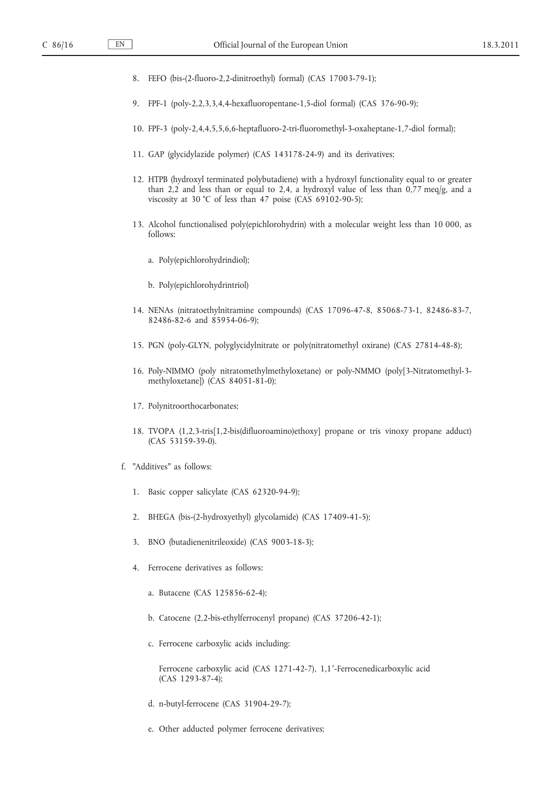- 8. FEFO (bis-(2-fluoro-2,2-dinitroethyl) formal) (CAS 17003-79-1);
- 9. FPF-1 (poly-2,2,3,3,4,4-hexafluoropentane-1,5-diol formal) (CAS 376-90-9);
- 10. FPF-3 (poly-2,4,4,5,5,6,6-heptafluoro-2-tri-fluoromethyl-3-oxaheptane-1,7-diol formal);
- 11. GAP (glycidylazide polymer) (CAS 143178-24-9) and its derivatives;
- 12. HTPB (hydroxyl terminated polybutadiene) with a hydroxyl functionality equal to or greater than 2,2 and less than or equal to 2,4, a hydroxyl value of less than 0,77 meq/g, and a viscosity at 30 °C of less than 47 poise (CAS 69102-90-5);
- 13. Alcohol functionalised poly(epichlorohydrin) with a molecular weight less than 10 000, as follows:
	- a. Poly(epichlorohydrindiol);
	- b. Poly(epichlorohydrintriol)
- 14. NENAs (nitratoethylnitramine compounds) (CAS 17096-47-8, 85068-73-1, 82486-83-7, 82486-82-6 and 85954-06-9);
- 15. PGN (poly-GLYN, polyglycidylnitrate or poly(nitratomethyl oxirane) (CAS 27814-48-8);
- 16. Poly-NIMMO (poly nitratomethylmethyloxetane) or poly-NMMO (poly[3-Nitratomethyl-3 methyloxetane]) (CAS 84051-81-0);
- 17. Polynitroorthocarbonates;
- 18. TVOPA (1,2,3-tris[1,2-bis(difluoroamino)ethoxy] propane or tris vinoxy propane adduct) (CAS 53159-39-0).
- f. "Additives" as follows:
	- 1. Basic copper salicylate (CAS 62320-94-9);
	- 2. BHEGA (bis-(2-hydroxyethyl) glycolamide) (CAS 17409-41-5);
	- 3. BNO (butadienenitrileoxide) (CAS 9003-18-3);
	- 4. Ferrocene derivatives as follows:
		- a. Butacene (CAS 125856-62-4);
		- b. Catocene (2,2-bis-ethylferrocenyl propane) (CAS 37206-42-1);
		- c. Ferrocene carboxylic acids including:

Ferrocene carboxylic acid (CAS 1271-42-7), 1,1′-Ferrocenedicarboxylic acid (CAS 1293-87-4);

- d. n-butyl-ferrocene (CAS 31904-29-7);
- e. Other adducted polymer ferrocene derivatives;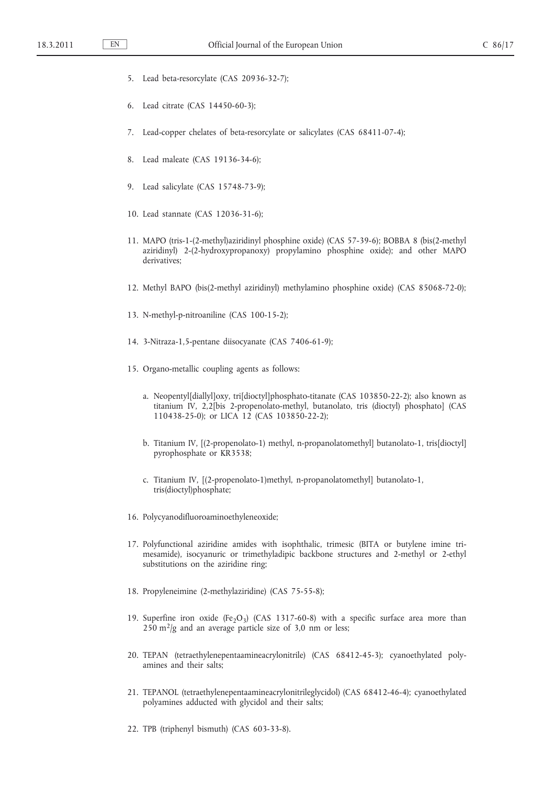- 5. Lead beta-resorcylate (CAS 20936-32-7);
- 6. Lead citrate (CAS 14450-60-3);
- 7. Lead-copper chelates of beta-resorcylate or salicylates (CAS 68411-07-4);
- 8. Lead maleate (CAS 19136-34-6);
- 9. Lead salicylate (CAS 15748-73-9);
- 10. Lead stannate (CAS 12036-31-6);
- 11. MAPO (tris-1-(2-methyl)aziridinyl phosphine oxide) (CAS 57-39-6); BOBBA 8 (bis(2-methyl aziridinyl) 2-(2-hydroxypropanoxy) propylamino phosphine oxide); and other MAPO derivatives;
- 12. Methyl BAPO (bis(2-methyl aziridinyl) methylamino phosphine oxide) (CAS 85068-72-0);
- 13. N-methyl-p-nitroaniline (CAS 100-15-2);
- 14. 3-Nitraza-1,5-pentane diisocyanate (CAS 7406-61-9);
- 15. Organo-metallic coupling agents as follows:
	- a. Neopentyl[diallyl]oxy, tri[dioctyl]phosphato-titanate (CAS 103850-22-2); also known as titanium IV, 2,2[bis 2-propenolato-methyl, butanolato, tris (dioctyl) phosphato] (CAS 110438-25-0); or LICA 12 (CAS 103850-22-2);
	- b. Titanium IV, [(2-propenolato-1) methyl, n-propanolatomethyl] butanolato-1, tris[dioctyl] pyrophosphate or KR3538;
	- c. Titanium IV, [(2-propenolato-1)methyl, n-propanolatomethyl] butanolato-1, tris(dioctyl)phosphate;
- 16. Polycyanodifluoroaminoethyleneoxide;
- 17. Polyfunctional aziridine amides with isophthalic, trimesic (BITA or butylene imine trimesamide), isocyanuric or trimethyladipic backbone structures and 2-methyl or 2-ethyl substitutions on the aziridine ring;
- 18. Propyleneimine (2-methylaziridine) (CAS 75-55-8);
- 19. Superfine iron oxide (Fe<sub>2</sub>O<sub>3</sub>) (CAS 1317-60-8) with a specific surface area more than  $250 \text{ m}^2/\text{g}$  and an average particle size of 3,0 nm or less;
- 20. TEPAN (tetraethylenepentaamineacrylonitrile) (CAS 68412-45-3); cyanoethylated polyamines and their salts;
- 21. TEPANOL (tetraethylenepentaamineacrylonitrileglycidol) (CAS 68412-46-4); cyanoethylated polyamines adducted with glycidol and their salts;
- 22. TPB (triphenyl bismuth) (CAS 603-33-8).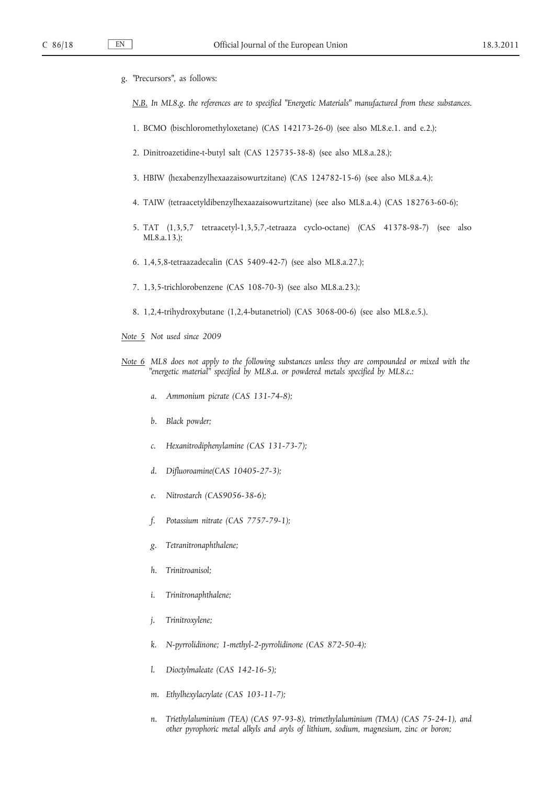g. ″Precursors ″, as follows:

*N.B. In ML8.g. the references are to specified ″Energetic Materials ″ manufactured from these substances.*

- 1. BCMO (bischloromethyloxetane) (CAS 142173-26-0) (see also ML8.e.1. and e.2.);
- 2. Dinitroazetidine-t-butyl salt (CAS 125735-38-8) (see also ML8.a.28.);
- 3. HBIW (hexabenzylhexaazaisowurtzitane) (CAS 124782-15-6) (see also ML8.a.4.);
- 4. TAIW (tetraacetyldibenzylhexaazaisowurtzitane) (see also ML8.a.4.) (CAS 182763-60-6);
- 5. TAT (1,3,5,7 tetraacetyl-1,3,5,7,-tetraaza cyclo-octane) (CAS 41378-98-7) (see also ML8.a.13.);
- 6. 1,4,5,8-tetraazadecalin (CAS 5409-42-7) (see also ML8.a.27.);
- 7. 1,3,5-trichlorobenzene (CAS 108-70-3) (see also ML8.a.23.);
- 8. 1,2,4-trihydroxybutane (1,2,4-butanetriol) (CAS 3068-00-6) (see also ML8.e.5.).
- *Note 5 Not used since 2009*
- *Note 6 ML8 does not apply to the following substances unless they are compounded or mixed with the ″energetic material ″ specified by ML8.a. or powdered metals specified by ML8.c.:*
	- *a. Ammonium picrate (CAS 131-74-8);*
	- *b. Black powder;*
	- *c. Hexanitrodiphenylamine (CAS 131-73-7);*
	- *d. Difluoroamine(CAS 10405-27-3);*
	- *e. Nitrostarch (CAS9056-38-6);*
	- *f. Potassium nitrate (CAS 7757-79-1);*
	- *g. Tetranitronaphthalene;*
	- *h. Trinitroanisol;*
	- *i. Trinitronaphthalene;*
	- *j. Trinitroxylene;*
	- *k. N-pyrrolidinone; 1-methyl-2-pyrrolidinone (CAS 872-50-4);*
	- *l. Dioctylmaleate (CAS 142-16-5);*
	- *m. Ethylhexylacrylate (CAS 103-11-7);*
	- *n. Triethylaluminium (TEA) (CAS 97-93-8), trimethylaluminium (TMA) (CAS 75-24-1), and other pyrophoric metal alkyls and aryls of lithium, sodium, magnesium, zinc or boron;*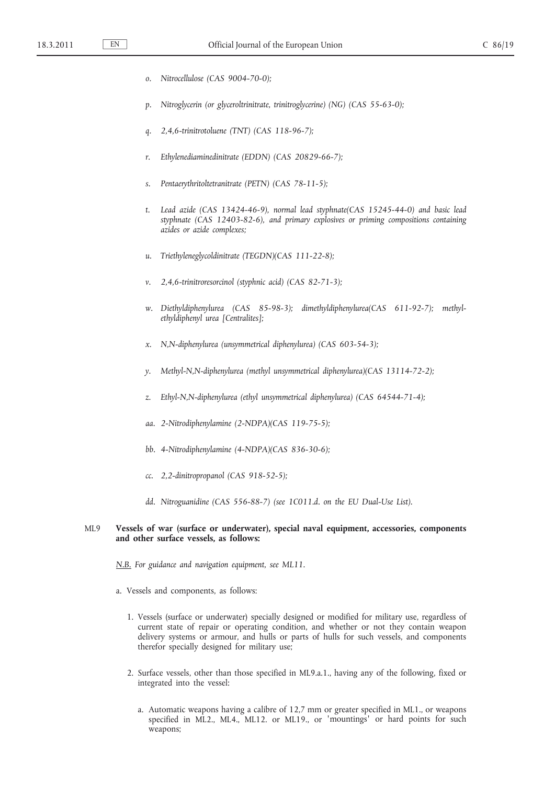- *o. Nitrocellulose (CAS 9004-70-0);*
- *p. Nitroglycerin (or glyceroltrinitrate, trinitroglycerine) (NG) (CAS 55-63-0);*
- *q. 2,4,6-trinitrotoluene (TNT) (CAS 118-96-7);*
- *r. Ethylenediaminedinitrate (EDDN) (CAS 20829-66-7);*
- *s. Pentaerythritoltetranitrate (PETN) (CAS 78-11-5);*
- *t. Lead azide (CAS 13424-46-9), normal lead styphnate(CAS 15245-44-0) and basic lead styphnate (CAS 12403-82-6), and primary explosives or priming compositions containing azides or azide complexes;*
- *u. Triethyleneglycoldinitrate (TEGDN)(CAS 111-22-8);*
- *v. 2,4,6-trinitroresorcinol (styphnic acid) (CAS 82-71-3);*
- *w. Diethyldiphenylurea (CAS 85-98-3); dimethyldiphenylurea(CAS 611-92-7); methylethyldiphenyl urea [Centralites];*
- *x. N,N-diphenylurea (unsymmetrical diphenylurea) (CAS 603-54-3);*
- *y. Methyl-N,N-diphenylurea (methyl unsymmetrical diphenylurea)(CAS 13114-72-2);*
- *z. Ethyl-N,N-diphenylurea (ethyl unsymmetrical diphenylurea) (CAS 64544-71-4);*
- *aa. 2-Nitrodiphenylamine (2-NDPA)(CAS 119-75-5);*
- *bb. 4-Nitrodiphenylamine (4-NDPA)(CAS 836-30-6);*
- *cc. 2,2-dinitropropanol (CAS 918-52-5);*
- *dd. Nitroguanidine (CAS 556-88-7) (see 1C011.d. on the EU Dual-Use List).*

## ML9 **Vessels of war (surface or underwater), special naval equipment, accessories, components and other surface vessels, as follows:**

*N.B. For guidance and navigation equipment, see ML11.*

- a. Vessels and components, as follows:
	- 1. Vessels (surface or underwater) specially designed or modified for military use, regardless of current state of repair or operating condition, and whether or not they contain weapon delivery systems or armour, and hulls or parts of hulls for such vessels, and components therefor specially designed for military use;
	- 2. Surface vessels, other than those specified in ML9.a.1., having any of the following, fixed or integrated into the vessel:
		- a. Automatic weapons having a calibre of 12,7 mm or greater specified in ML1., or weapons specified in ML2., ML4., ML12. or ML19., or ′mountings′ or hard points for such weapons;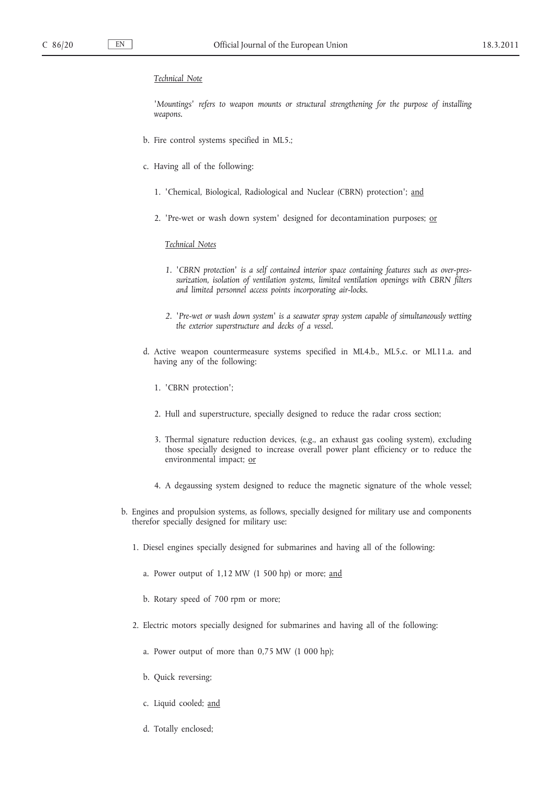#### *Technical Note*

*′Mountings ′ refers to weapon mounts or structural strengthening for the purpose of installing weapons.*

- b. Fire control systems specified in ML5.;
- c. Having all of the following:
	- 1. 'Chemical, Biological, Radiological and Nuclear (CBRN) protection'; and
	- 2. 'Pre-wet or wash down system' designed for decontamination purposes; or

### *Technical Notes*

- 1. *'CBRN protection'* is a self contained interior space containing features such as over-pres*surization, isolation of ventilation systems, limited ventilation openings with CBRN filters and limited personnel access points incorporating air-locks.*
- *2. ′Pre-wet or wash down system ′ is a seawater spray system capable of simultaneously wetting the exterior superstructure and decks of a vessel.*
- d. Active weapon countermeasure systems specified in ML4.b., ML5.c. or ML11.a. and having any of the following:
	- 1. ′CBRN protection ′;
	- 2. Hull and superstructure, specially designed to reduce the radar cross section;
	- 3. Thermal signature reduction devices, (e.g., an exhaust gas cooling system), excluding those specially designed to increase overall power plant efficiency or to reduce the environmental impact; or
	- 4. A degaussing system designed to reduce the magnetic signature of the whole vessel;
- b. Engines and propulsion systems, as follows, specially designed for military use and components therefor specially designed for military use:
	- 1. Diesel engines specially designed for submarines and having all of the following:
		- a. Power output of 1,12 MW (1 500 hp) or more; and
		- b. Rotary speed of 700 rpm or more;
	- 2. Electric motors specially designed for submarines and having all of the following:
		- a. Power output of more than 0,75 MW (1 000 hp);
		- b. Quick reversing;
		- c. Liquid cooled; and
		- d. Totally enclosed;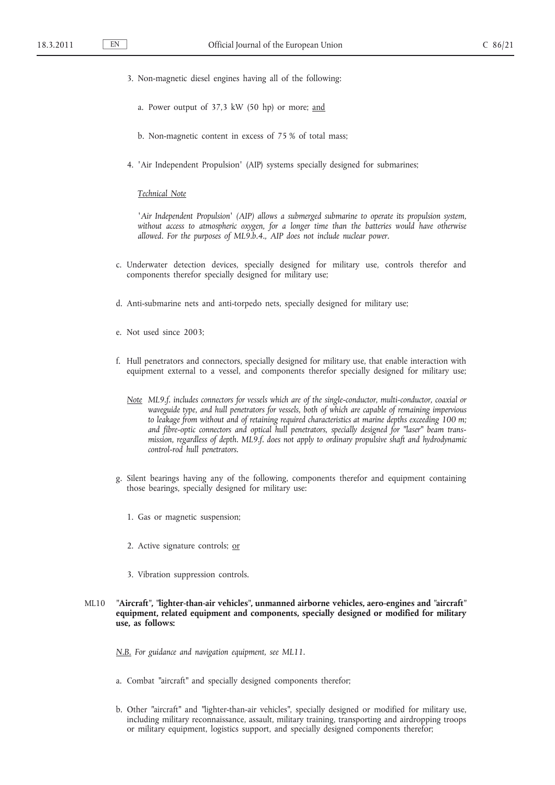- 3. Non-magnetic diesel engines having all of the following:
	- a. Power output of 37,3 kW (50 hp) or more; and
	- b. Non-magnetic content in excess of 75 % of total mass;
- 4. 'Air Independent Propulsion' (AIP) systems specially designed for submarines;

#### *Technical Note*

*<sup>′</sup>Air Independent Propulsion<sup>'</sup> (AIP) allows a submerged submarine to operate its propulsion system, without access to atmospheric oxygen, for a longer time than the batteries would have otherwise allowed. For the purposes of ML9.b.4., AIP does not include nuclear power.*

- c. Underwater detection devices, specially designed for military use, controls therefor and components therefor specially designed for military use;
- d. Anti-submarine nets and anti-torpedo nets, specially designed for military use;
- e. Not used since 2003;
- f. Hull penetrators and connectors, specially designed for military use, that enable interaction with equipment external to a vessel, and components therefor specially designed for military use;
	- *Note ML9.f. includes connectors for vessels which are of the single-conductor, multi-conductor, coaxial or waveguide type, and hull penetrators for vessels, both of which are capable of remaining impervious*  to leakage from without and of retaining required characteristics at marine depths exceeding 100 m; and fibre-optic connectors and optical hull penetrators, specially designed for "laser" beam trans*mission, regardless of depth. ML9.f. does not apply to ordinary propulsive shaft and hydrodynamic control-rod hull penetrators.*
- g. Silent bearings having any of the following, components therefor and equipment containing those bearings, specially designed for military use:
	- 1. Gas or magnetic suspension;
	- 2. Active signature controls; or
	- 3. Vibration suppression controls.
- ML10 **″Aircraft ″, ″lighter-than-air vehicles ″, unmanned airborne vehicles, aero-engines and ″aircraft ″ equipment, related equipment and components, specially designed or modified for military use, as follows:**

*N.B. For guidance and navigation equipment, see ML11.*

- a. Combat "aircraft" and specially designed components therefor;
- b. Other "aircraft" and "lighter-than-air vehicles", specially designed or modified for military use, including military reconnaissance, assault, military training, transporting and airdropping troops or military equipment, logistics support, and specially designed components therefor;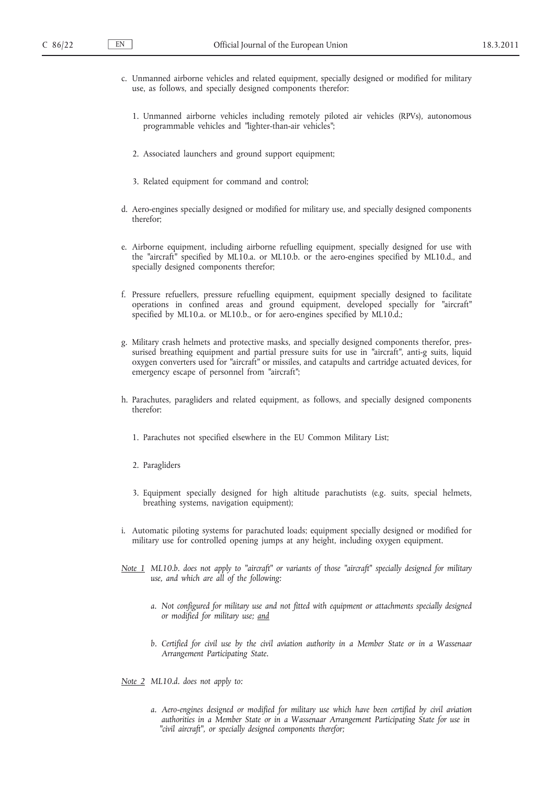- c. Unmanned airborne vehicles and related equipment, specially designed or modified for military use, as follows, and specially designed components therefor:
	- 1. Unmanned airborne vehicles including remotely piloted air vehicles (RPVs), autonomous programmable vehicles and "lighter-than-air vehicles";
	- 2. Associated launchers and ground support equipment;
	- 3. Related equipment for command and control;
- d. Aero-engines specially designed or modified for military use, and specially designed components therefor;
- e. Airborne equipment, including airborne refuelling equipment, specially designed for use with the "aircraft" specified by ML10.a. or ML10.b. or the aero-engines specified by ML10.d., and specially designed components therefor;
- f. Pressure refuellers, pressure refuelling equipment, equipment specially designed to facilitate operations in confined areas and ground equipment, developed specially for "aircraft" specified by ML10.a. or ML10.b., or for aero-engines specified by ML10.d.;
- g. Military crash helmets and protective masks, and specially designed components therefor, pressurised breathing equipment and partial pressure suits for use in "aircraft", anti-g suits, liquid oxygen converters used for "aircraft" or missiles, and catapults and cartridge actuated devices, for emergency escape of personnel from "aircraft";
- h. Parachutes, paragliders and related equipment, as follows, and specially designed components therefor:
	- 1. Parachutes not specified elsewhere in the EU Common Military List;
	- 2. Paragliders
	- 3. Equipment specially designed for high altitude parachutists (e.g. suits, special helmets, breathing systems, navigation equipment);
- i. Automatic piloting systems for parachuted loads; equipment specially designed or modified for military use for controlled opening jumps at any height, including oxygen equipment.
- *Note 1 ML10.b. does not apply to "aircraft" or variants of those "aircraft" specially designed for military use, and which are all of the following:*
	- *a. Not configured for military use and not fitted with equipment or attachments specially designed or modified for military use; and*
	- *b. Certified for civil use by the civil aviation authority in a Member State or in a Wassenaar Arrangement Participating State.*

*Note 2 ML10.d. does not apply to:*

*a. Aero-engines designed or modified for military use which have been certified by civil aviation authorities in a Member State or in a Wassenaar Arrangement Participating State for use in ″civil aircraft ″, or specially designed components therefor;*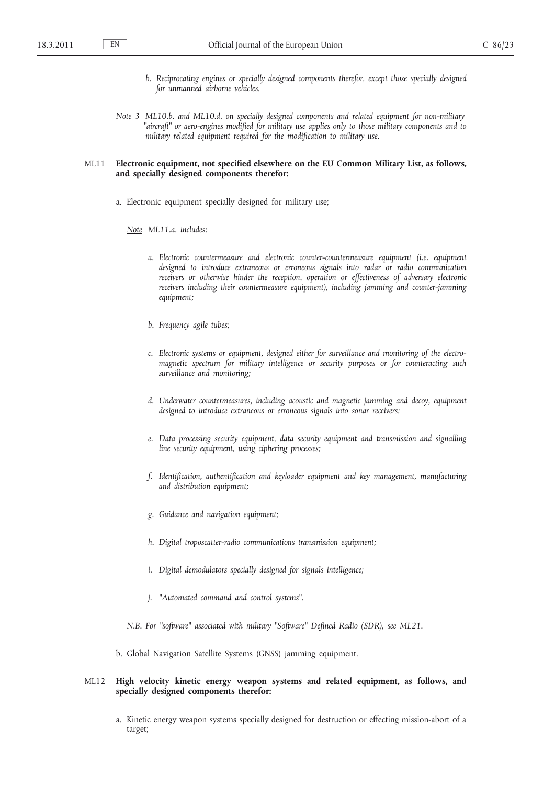- *b. Reciprocating engines or specially designed components therefor, except those specially designed for unmanned airborne vehicles.*
- *Note 3 ML10.b. and ML10.d. on specially designed components and related equipment for non-military ″aircraft ″ or aero-engines modified for military use applies only to those military components and to military related equipment required for the modification to military use.*

#### ML11 **Electronic equipment, not specified elsewhere on the EU Common Military List, as follows, and specially designed components therefor:**

a. Electronic equipment specially designed for military use;

*Note ML11.a. includes:*

- *a. Electronic countermeasure and electronic counter-countermeasure equipment (i.e. equipment designed to introduce extraneous or erroneous signals into radar or radio communication*  receivers or otherwise hinder the reception, operation or effectiveness of adversary electronic *receivers including their countermeasure equipment), including jamming and counter-jamming equipment;*
- *b. Frequency agile tubes;*
- *c. Electronic systems or equipment, designed either for surveillance and monitoring of the electromagnetic spectrum for military intelligence or security purposes or for counteracting such surveillance and monitoring;*
- *d. Underwater countermeasures, including acoustic and magnetic jamming and decoy, equipment designed to introduce extraneous or erroneous signals into sonar receivers;*
- *e. Data processing security equipment, data security equipment and transmission and signalling line security equipment, using ciphering processes;*
- *f. Identification, authentification and keyloader equipment and key management, manufacturing and distribution equipment;*
- *g. Guidance and navigation equipment;*
- *h. Digital troposcatter-radio communications transmission equipment;*
- *i. Digital demodulators specially designed for signals intelligence;*
- *j. ″Automated command and control systems ″.*

*N.B. For ″software ″ associated with military ″Software ″ Defined Radio (SDR), see ML21.*

b. Global Navigation Satellite Systems (GNSS) jamming equipment.

## ML12 **High velocity kinetic energy weapon systems and related equipment, as follows, and specially designed components therefor:**

a. Kinetic energy weapon systems specially designed for destruction or effecting mission-abort of a target;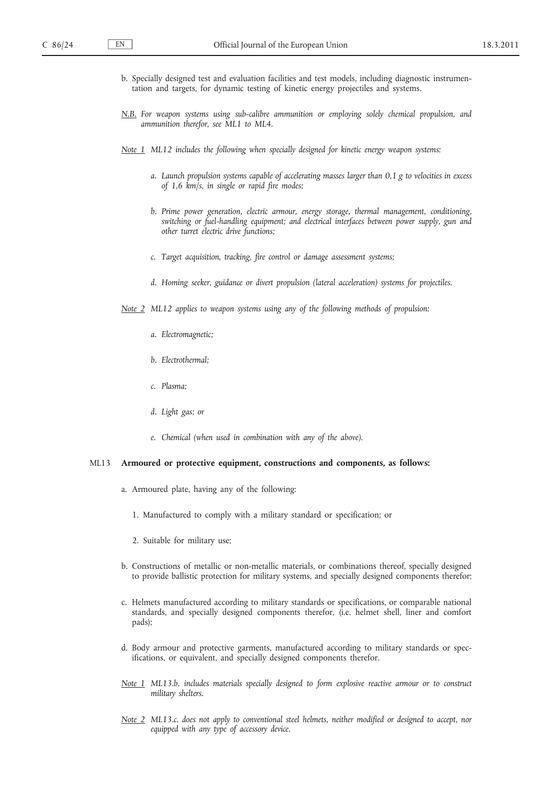- b. Specially designed test and evaluation facilities and test models, including diagnostic instrumentation and targets, for dynamic testing of kinetic energy projectiles and systems.
- *N.B. For weapon systems using sub-calibre ammunition or employing solely chemical propulsion, and ammunition therefor, see ML1 to ML4.*
- *Note 1 ML12 includes the following when specially designed for kinetic energy weapon systems:*
	- *a. Launch propulsion systems capable of accelerating masses larger than 0,1 g to velocities in excess of 1,6 km/s, in single or rapid fire modes;*
	- *b. Prime power generation, electric armour, energy storage, thermal management, conditioning, switching or fuel-handling equipment; and electrical interfaces between power supply, gun and other turret electric drive functions;*
	- *c. Target acquisition, tracking, fire control or damage assessment systems;*
	- *d. Homing seeker, guidance or divert propulsion (lateral acceleration) systems for projectiles.*

*Note 2 ML12 applies to weapon systems using any of the following methods of propulsion:*

- *a. Electromagnetic;*
- *b. Electrothermal;*
- *c. Plasma;*
- *d. Light gas; or*
- *e. Chemical (when used in combination with any of the above).*

#### ML13 **Armoured or protective equipment, constructions and components, as follows:**

- a. Armoured plate, having any of the following:
	- 1. Manufactured to comply with a military standard or specification; or
	- 2. Suitable for military use;
- b. Constructions of metallic or non-metallic materials, or combinations thereof, specially designed to provide ballistic protection for military systems, and specially designed components therefor;
- c. Helmets manufactured according to military standards or specifications, or comparable national standards, and specially designed components therefor, (i.e. helmet shell, liner and comfort pads);
- d. Body armour and protective garments, manufactured according to military standards or specifications, or equivalent, and specially designed components therefor.
- *Note 1 ML13.b. includes materials specially designed to form explosive reactive armour or to construct military shelters.*
- *Note 2 ML13.c. does not apply to conventional steel helmets, neither modified or designed to accept, nor equipped with any type of accessory device.*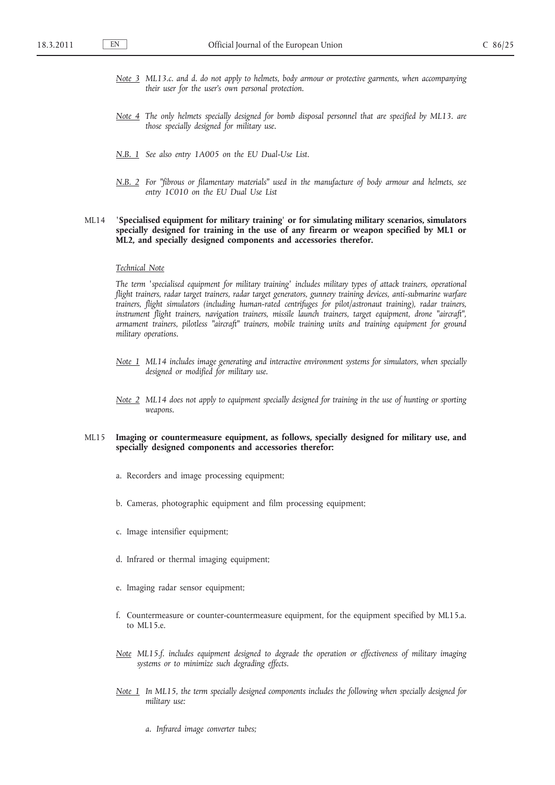- *Note 3 ML13.c. and d. do not apply to helmets, body armour or protective garments, when accompanying their user for the user's own personal protection.*
- *Note 4 The only helmets specially designed for bomb disposal personnel that are specified by ML13. are those specially designed for military use.*
- *N.B. 1 See also entry 1A005 on the EU Dual-Use List.*
- *N.B. 2 For ″fibrous or filamentary materials ″ used in the manufacture of body armour and helmets, see entry 1C010 on the EU Dual Use List*

# ML14 **′Specialised equipment for military training ′ or for simulating military scenarios, simulators specially designed for training in the use of any firearm or weapon specified by ML1 or ML2, and specially designed components and accessories therefor.**

#### *Technical Note*

*The term 'specialised equipment for military training' includes military types of attack trainers, operational flight trainers, radar target trainers, radar target generators, gunnery training devices, anti-submarine warfare trainers, flight simulators (including human-rated centrifuges for pilot/astronaut training), radar trainers, instrument flight trainers, navigation trainers, missile launch trainers, target equipment, drone ″aircraft ″, armament trainers, pilotless ″aircraft ″ trainers, mobile training units and training equipment for ground military operations.*

- *Note 1 ML14 includes image generating and interactive environment systems for simulators, when specially designed or modified for military use.*
- *Note 2 ML14 does not apply to equipment specially designed for training in the use of hunting or sporting weapons.*

#### ML15 **Imaging or countermeasure equipment, as follows, specially designed for military use, and specially designed components and accessories therefor:**

- a. Recorders and image processing equipment;
- b. Cameras, photographic equipment and film processing equipment;
- c. Image intensifier equipment;
- d. Infrared or thermal imaging equipment;
- e. Imaging radar sensor equipment;
- f. Countermeasure or counter-countermeasure equipment, for the equipment specified by ML15.a. to ML15.e.
- *Note ML15.f. includes equipment designed to degrade the operation or effectiveness of military imaging systems or to minimize such degrading effects.*
- *Note 1 In ML15, the term specially designed components includes the following when specially designed for military use:*
	- *a. Infrared image converter tubes;*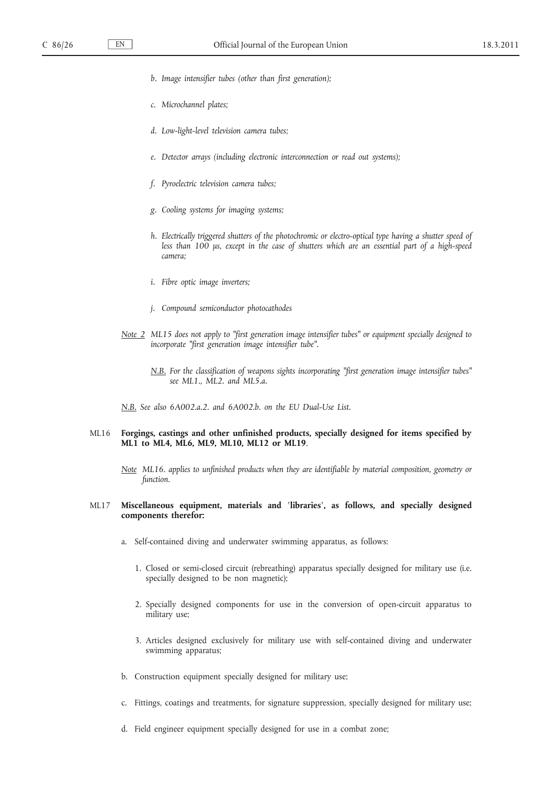- *b. Image intensifier tubes (other than first generation);*
- *c. Microchannel plates;*
- *d. Low-light-level television camera tubes;*
- *e. Detector arrays (including electronic interconnection or read out systems);*
- *f. Pyroelectric television camera tubes;*
- *g. Cooling systems for imaging systems;*
- *h. Electrically triggered shutters of the photochromic or electro-optical type having a shutter speed of less than 100 μs, except in the case of shutters which are an essential part of a high-speed camera;*
- *i. Fibre optic image inverters;*
- *j. Compound semiconductor photocathodes*
- *Note 2 ML15 does not apply to "first generation image intensifier tubes" or equipment specially designed to incorporate ″first generation image intensifier tube ″.*
	- *N.B. For the classification of weapons sights incorporating ″first generation image intensifier tubes ″ see ML1., ML2. and ML5.a.*
- *N.B. See also 6A002.a.2. and 6A002.b. on the EU Dual-Use List.*
- ML16 **Forgings, castings and other unfinished products, specially designed for items specified by ML1 to ML4, ML6, ML9, ML10, ML12 or ML19**.
	- *Note ML16. applies to unfinished products when they are identifiable by material composition, geometry or function.*

# ML17 **Miscellaneous equipment, materials and ′libraries′, as follows, and specially designed components therefor:**

- a. Self-contained diving and underwater swimming apparatus, as follows:
	- 1. Closed or semi-closed circuit (rebreathing) apparatus specially designed for military use (i.e. specially designed to be non magnetic);
	- 2. Specially designed components for use in the conversion of open-circuit apparatus to military use;
	- 3. Articles designed exclusively for military use with self-contained diving and underwater swimming apparatus;
- b. Construction equipment specially designed for military use;
- c. Fittings, coatings and treatments, for signature suppression, specially designed for military use;
- d. Field engineer equipment specially designed for use in a combat zone;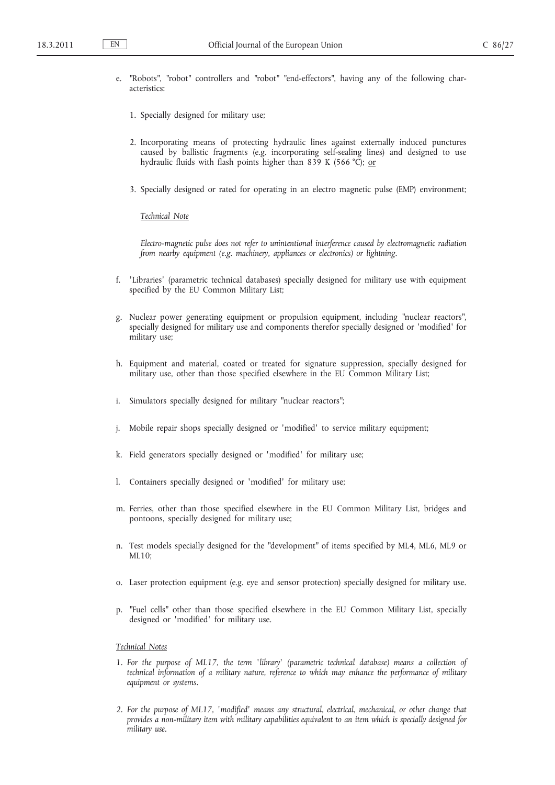- e. "Robots", "robot" controllers and "robot" "end-effectors", having any of the following characteristics:
	- 1. Specially designed for military use;
	- 2. Incorporating means of protecting hydraulic lines against externally induced punctures caused by ballistic fragments (e.g. incorporating self-sealing lines) and designed to use hydraulic fluids with flash points higher than 839 K (566 °C); or
	- 3. Specially designed or rated for operating in an electro magnetic pulse (EMP) environment;

#### *Technical Note*

*Electro-magnetic pulse does not refer to unintentional interference caused by electromagnetic radiation from nearby equipment (e.g. machinery, appliances or electronics) or lightning.*

- f. ′Libraries′ (parametric technical databases) specially designed for military use with equipment specified by the EU Common Military List;
- g. Nuclear power generating equipment or propulsion equipment, including ″nuclear reactors ″, specially designed for military use and components therefor specially designed or 'modified' for military use;
- h. Equipment and material, coated or treated for signature suppression, specially designed for military use, other than those specified elsewhere in the EU Common Military List;
- i. Simulators specially designed for military "nuclear reactors";
- j. Mobile repair shops specially designed or 'modified' to service military equipment;
- k. Field generators specially designed or 'modified' for military use;
- l. Containers specially designed or 'modified' for military use;
- m. Ferries, other than those specified elsewhere in the EU Common Military List, bridges and pontoons, specially designed for military use;
- n. Test models specially designed for the "development" of items specified by ML4, ML6, ML9 or ML10;
- o. Laser protection equipment (e.g. eye and sensor protection) specially designed for military use.
- p. ″Fuel cells ″ other than those specified elsewhere in the EU Common Military List, specially designed or 'modified' for military use.

# *Technical Notes*

- *1. For the purpose of ML17, the term ′library′ (parametric technical database) means a collection of technical information of a military nature, reference to which may enhance the performance of military equipment or systems.*
- *2. For the purpose of ML17, ′modified ′ means any structural, electrical, mechanical, or other change that provides a non-military item with military capabilities equivalent to an item which is specially designed for military use.*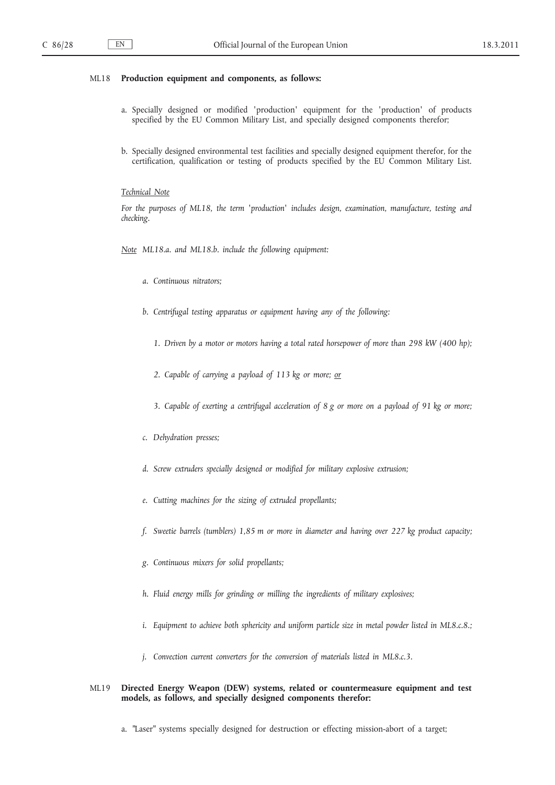## ML18 **Production equipment and components, as follows:**

- a. Specially designed or modified 'production' equipment for the 'production' of products specified by the EU Common Military List, and specially designed components therefor;
- b. Specially designed environmental test facilities and specially designed equipment therefor, for the certification, qualification or testing of products specified by the EU Common Military List.

#### *Technical Note*

*For the purposes of ML18, the term 'production' includes design, examination, manufacture, testing and checking.*

*Note ML18.a. and ML18.b. include the following equipment:*

- *a. Continuous nitrators;*
- *b. Centrifugal testing apparatus or equipment having any of the following:*
	- *1. Driven by a motor or motors having a total rated horsepower of more than 298 kW (400 hp);*
	- *2. Capable of carrying a payload of 113 kg or more; or*
	- *3. Capable of exerting a centrifugal acceleration of 8 g or more on a payload of 91 kg or more;*
- *c. Dehydration presses;*
- *d. Screw extruders specially designed or modified for military explosive extrusion;*
- *e. Cutting machines for the sizing of extruded propellants;*
- *f. Sweetie barrels (tumblers) 1,85 m or more in diameter and having over 227 kg product capacity;*
- *g. Continuous mixers for solid propellants;*
- *h. Fluid energy mills for grinding or milling the ingredients of military explosives;*
- *i. Equipment to achieve both sphericity and uniform particle size in metal powder listed in ML8.c.8.;*
- *j. Convection current converters for the conversion of materials listed in ML8.c.3.*

# ML19 **Directed Energy Weapon (DEW) systems, related or countermeasure equipment and test models, as follows, and specially designed components therefor:**

a. "Laser" systems specially designed for destruction or effecting mission-abort of a target;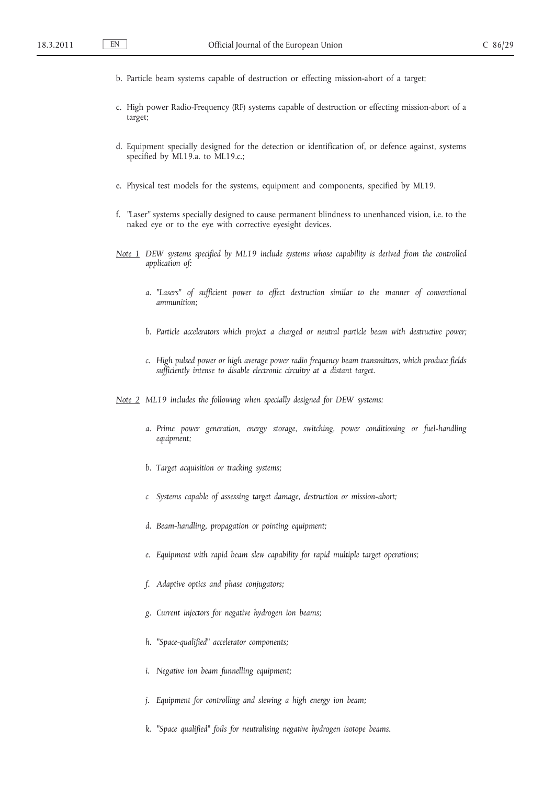- b. Particle beam systems capable of destruction or effecting mission-abort of a target;
- c. High power Radio-Frequency (RF) systems capable of destruction or effecting mission-abort of a target;
- d. Equipment specially designed for the detection or identification of, or defence against, systems specified by ML19.a. to ML19.c.;
- e. Physical test models for the systems, equipment and components, specified by ML19.
- f. "Laser" systems specially designed to cause permanent blindness to unenhanced vision, i.e. to the naked eye or to the eye with corrective eyesight devices.
- *Note 1 DEW systems specified by ML19 include systems whose capability is derived from the controlled application of:*
	- *a. ″Lasers ″ of sufficient power to effect destruction similar to the manner of conventional ammunition;*
	- *b. Particle accelerators which project a charged or neutral particle beam with destructive power;*
	- *c. High pulsed power or high average power radio frequency beam transmitters, which produce fields sufficiently intense to disable electronic circuitry at a distant target.*

*Note 2 ML19 includes the following when specially designed for DEW systems:*

- *a. Prime power generation, energy storage, switching, power conditioning or fuel-handling equipment;*
- *b. Target acquisition or tracking systems;*
- *c Systems capable of assessing target damage, destruction or mission-abort;*
- *d. Beam-handling, propagation or pointing equipment;*
- *e. Equipment with rapid beam slew capability for rapid multiple target operations;*
- *f. Adaptive optics and phase conjugators;*
- *g. Current injectors for negative hydrogen ion beams;*
- *h. ″Space-qualified ″ accelerator components;*
- *i. Negative ion beam funnelling equipment;*
- *j. Equipment for controlling and slewing a high energy ion beam;*
- *k. ″Space qualified ″ foils for neutralising negative hydrogen isotope beams.*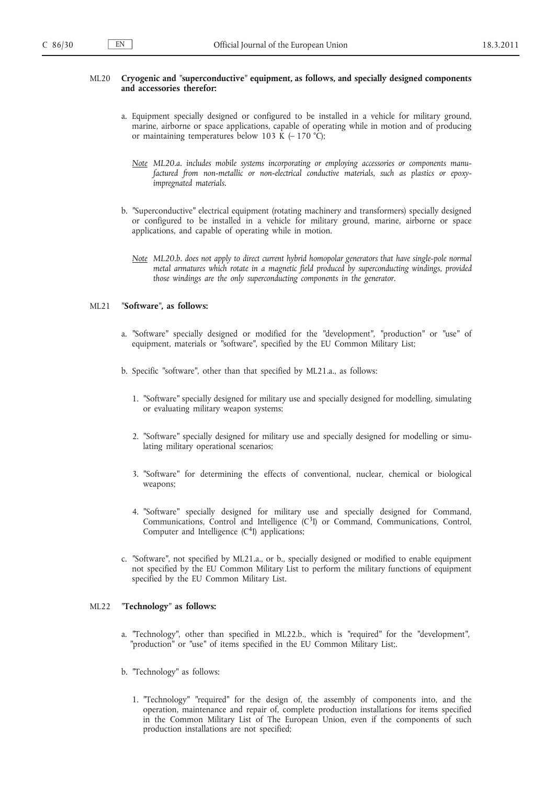#### ML20 **Cryogenic and ″superconductive ″ equipment, as follows, and specially designed components and accessories therefor:**

- a. Equipment specially designed or configured to be installed in a vehicle for military ground, marine, airborne or space applications, capable of operating while in motion and of producing or maintaining temperatures below 103 K  $(-170 °C)$ ;
	- *Note ML20.a. includes mobile systems incorporating or employing accessories or components manufactured from non-metallic or non-electrical conductive materials, such as plastics or epoxyimpregnated materials.*
- b. "Superconductive" electrical equipment (rotating machinery and transformers) specially designed or configured to be installed in a vehicle for military ground, marine, airborne or space applications, and capable of operating while in motion.
	- *Note ML20.b. does not apply to direct current hybrid homopolar generators that have single-pole normal metal armatures which rotate in a magnetic field produced by superconducting windings, provided those windings are the only superconducting components in the generator.*

#### ML21 **″Software ″, as follows:**

- a. "Software" specially designed or modified for the "development", "production" or "use" of equipment, materials or "software", specified by the EU Common Military List;
- b. Specific "software", other than that specified by ML21.a., as follows:
	- 1. "Software" specially designed for military use and specially designed for modelling, simulating or evaluating military weapon systems;
	- 2. "Software" specially designed for military use and specially designed for modelling or simulating military operational scenarios;
	- 3. "Software" for determining the effects of conventional, nuclear, chemical or biological weapons;
	- 4. "Software" specially designed for military use and specially designed for Command, Communications, Control and Intelligence  $(C<sup>3</sup>I)$  or Command, Communications, Control, Computer and Intelligence  $(C<sup>4</sup>I)$  applications;
- c. ″Software ″, not specified by ML21.a., or b., specially designed or modified to enable equipment not specified by the EU Common Military List to perform the military functions of equipment specified by the EU Common Military List.

# ML22 **″Technology ″ as follows:**

- a. "Technology", other than specified in ML22.b., which is "required" for the "development", "production" or "use" of items specified in the EU Common Military List;.
- b. "Technology" as follows:
	- 1. "Technology" "required" for the design of, the assembly of components into, and the operation, maintenance and repair of, complete production installations for items specified in the Common Military List of The European Union, even if the components of such production installations are not specified;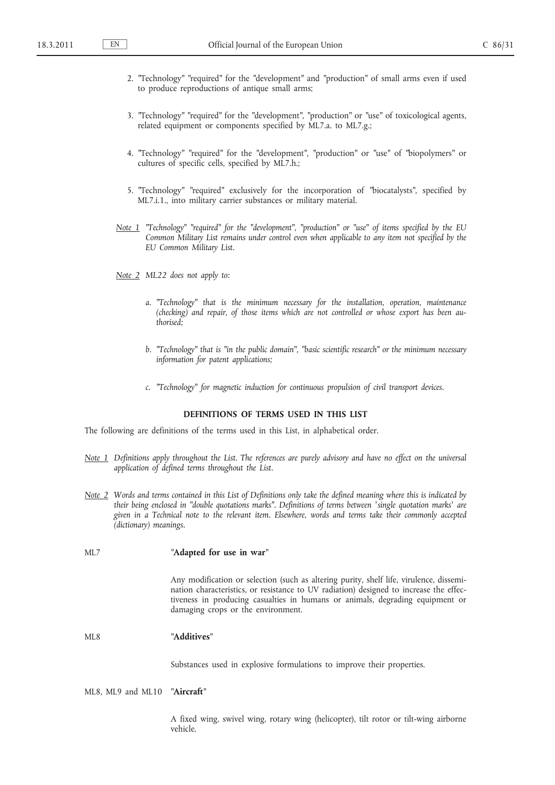- 2. "Technology" "required" for the "development" and "production" of small arms even if used to produce reproductions of antique small arms;
- 3. "Technology" "required" for the "development", "production" or "use" of toxicological agents, related equipment or components specified by ML7.a. to ML7.g.;
- 4. "Technology" "required" for the "development", "production" or "use" of "biopolymers" or cultures of specific cells, specified by ML7.h.;
- 5. "Technology" "required" exclusively for the incorporation of "biocatalysts", specified by ML7.i.1., into military carrier substances or military material.
- Note 1 "Technology" "required" for the "development", "production" or "use" of items specified by the EU *Common Military List remains under control even when applicable to any item not specified by the EU Common Military List.*
- *Note 2 ML22 does not apply to:*
	- *a. ″Technology ″ that is the minimum necessary for the installation, operation, maintenance (checking) and repair, of those items which are not controlled or whose export has been authorised;*
	- *b. ″Technology ″ that is ″in the public domain ″, ″basic scientific research ″ or the minimum necessary information for patent applications;*
	- *c. ″Technology ″ for magnetic induction for continuous propulsion of civil transport devices.*

## **DEFINITIONS OF TERMS USED IN THIS LIST**

The following are definitions of the terms used in this List, in alphabetical order.

- *Note 1 Definitions apply throughout the List. The references are purely advisory and have no effect on the universal application of defined terms throughout the List.*
- *Note 2 Words and terms contained in this List of Definitions only take the defined meaning where this is indicated by their being enclosed in ″double quotations marks ″. Definitions of terms between ′single quotation marks′ are given in a Technical note to the relevant item. Elsewhere, words and terms take their commonly accepted (dictionary) meanings.*

#### ML7 **″Adapted for use in war ″**

Any modification or selection (such as altering purity, shelf life, virulence, dissemination characteristics, or resistance to UV radiation) designed to increase the effectiveness in producing casualties in humans or animals, degrading equipment or damaging crops or the environment.

# ML8 **″Additives ″**

Substances used in explosive formulations to improve their properties.

## ML8, ML9 and ML10 **″Aircraft ″**

A fixed wing, swivel wing, rotary wing (helicopter), tilt rotor or tilt-wing airborne vehicle.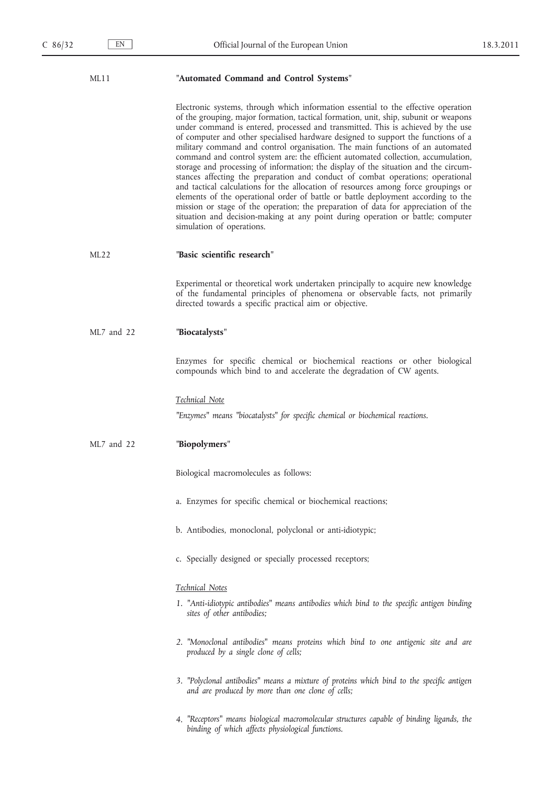| "Automated Command and Control Systems"<br>ML11 |
|-------------------------------------------------|
|-------------------------------------------------|

Electronic systems, through which information essential to the effective operation of the grouping, major formation, tactical formation, unit, ship, subunit or weapons under command is entered, processed and transmitted. This is achieved by the use of computer and other specialised hardware designed to support the functions of a military command and control organisation. The main functions of an automated command and control system are: the efficient automated collection, accumulation, storage and processing of information; the display of the situation and the circumstances affecting the preparation and conduct of combat operations; operational and tactical calculations for the allocation of resources among force groupings or elements of the operational order of battle or battle deployment according to the mission or stage of the operation; the preparation of data for appreciation of the situation and decision-making at any point during operation or battle; computer simulation of operations.

#### ML22 **″Basic scientific research ″**

Experimental or theoretical work undertaken principally to acquire new knowledge of the fundamental principles of phenomena or observable facts, not primarily directed towards a specific practical aim or objective.

# ML7 and 22 **″Biocatalysts ″**

Enzymes for specific chemical or biochemical reactions or other biological compounds which bind to and accelerate the degradation of CW agents.

#### *Technical Note*

*″Enzymes ″ means ″biocatalysts ″ for specific chemical or biochemical reactions.*

#### ML7 and 22 **″Biopolymers ″**

Biological macromolecules as follows:

- a. Enzymes for specific chemical or biochemical reactions;
- b. Antibodies, monoclonal, polyclonal or anti-idiotypic;
- c. Specially designed or specially processed receptors;

#### *Technical Notes*

- *1. ″Anti-idiotypic antibodies ″ means antibodies which bind to the specific antigen binding sites of other antibodies;*
- *2. ″Monoclonal antibodies ″ means proteins which bind to one antigenic site and are produced by a single clone of cells;*
- *3. ″Polyclonal antibodies ″ means a mixture of proteins which bind to the specific antigen and are produced by more than one clone of cells;*
- *4. ″Receptors ″ means biological macromolecular structures capable of binding ligands, the binding of which affects physiological functions.*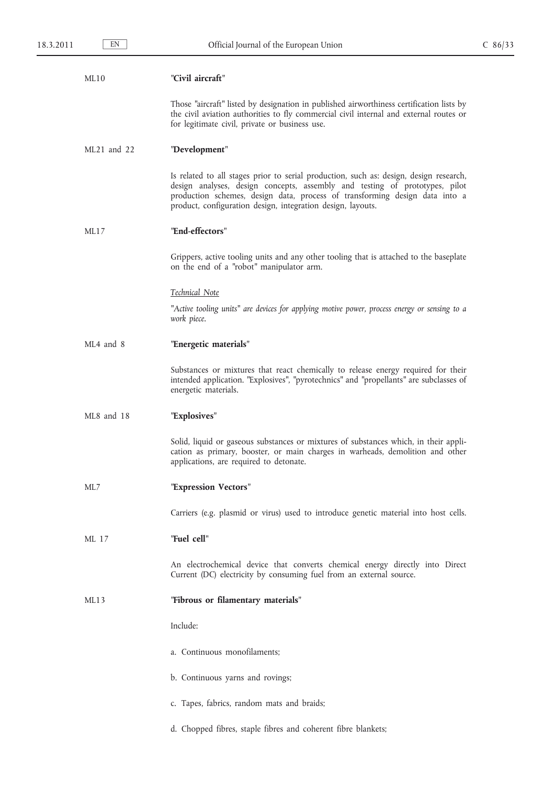| ML10 | "Civil aircraft" |
|------|------------------|
|      |                  |

Those "aircraft" listed by designation in published airworthiness certification lists by the civil aviation authorities to fly commercial civil internal and external routes or for legitimate civil, private or business use.

## ML21 and 22 **″Development ″**

Is related to all stages prior to serial production, such as: design, design research, design analyses, design concepts, assembly and testing of prototypes, pilot production schemes, design data, process of transforming design data into a product, configuration design, integration design, layouts.

#### ML17 **″End-effectors ″**

Grippers, active tooling units and any other tooling that is attached to the baseplate on the end of a "robot" manipulator arm.

#### *Technical Note*

*″Active tooling units ″ are devices for applying motive power, process energy or sensing to a work piece.*

## ML4 and 8 **″Energetic materials ″**

Substances or mixtures that react chemically to release energy required for their intended application. "Explosives", "pyrotechnics" and "propellants" are subclasses of energetic materials.

#### ML8 and 18 **″Explosives ″**

Solid, liquid or gaseous substances or mixtures of substances which, in their application as primary, booster, or main charges in warheads, demolition and other applications, are required to detonate.

# ML7 **″Expression Vectors ″**

Carriers (e.g. plasmid or virus) used to introduce genetic material into host cells.

#### ML 17 **″Fuel cell ″**

An electrochemical device that converts chemical energy directly into Direct Current (DC) electricity by consuming fuel from an external source.

## ML13 **″Fibrous or filamentary materials ″**

Include:

- a. Continuous monofilaments;
- b. Continuous yarns and rovings;
- c. Tapes, fabrics, random mats and braids;
- d. Chopped fibres, staple fibres and coherent fibre blankets;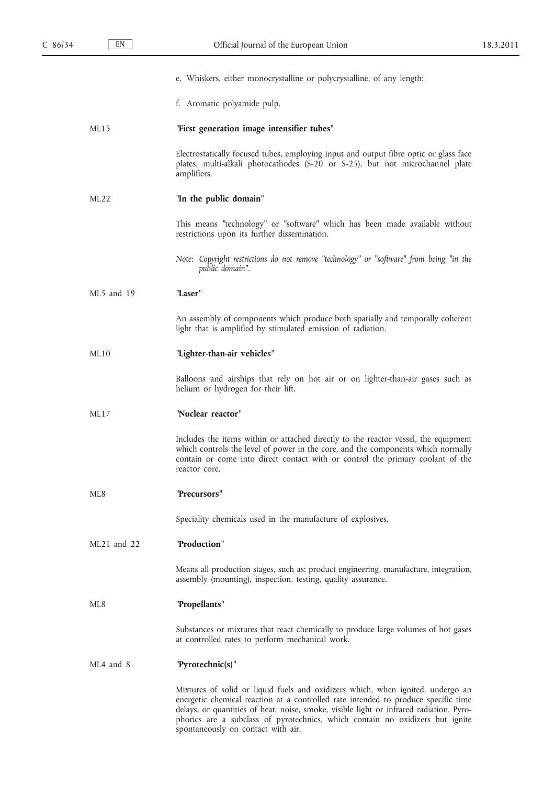|                 | e. Whiskers, either monocrystalline or polycrystalline, of any length;                                                                                                                                                                                                                                                                                                                  |
|-----------------|-----------------------------------------------------------------------------------------------------------------------------------------------------------------------------------------------------------------------------------------------------------------------------------------------------------------------------------------------------------------------------------------|
|                 | f. Aromatic polyamide pulp.                                                                                                                                                                                                                                                                                                                                                             |
| ML15            | "First generation image intensifier tubes"                                                                                                                                                                                                                                                                                                                                              |
|                 | Electrostatically focused tubes, employing input and output fibre optic or glass face<br>plates, multi-alkali photocathodes (S-20 or S-25), but not microchannel plate<br>amplifiers.                                                                                                                                                                                                   |
| ML22            | "In the public domain"                                                                                                                                                                                                                                                                                                                                                                  |
|                 | This means "technology" or "software" which has been made available without<br>restrictions upon its further dissemination.                                                                                                                                                                                                                                                             |
|                 | Note: Copyright restrictions do not remove "technology" or "software" from being "in the<br>public domain".                                                                                                                                                                                                                                                                             |
| $MI.5$ and 19   | "Laser"                                                                                                                                                                                                                                                                                                                                                                                 |
|                 | An assembly of components which produce both spatially and temporally coherent<br>light that is amplified by stimulated emission of radiation.                                                                                                                                                                                                                                          |
| ML10            | "Lighter-than-air vehicles"                                                                                                                                                                                                                                                                                                                                                             |
|                 | Balloons and airships that rely on hot air or on lighter-than-air gases such as<br>helium or hydrogen for their lift.                                                                                                                                                                                                                                                                   |
| ML17            | "Nuclear reactor"                                                                                                                                                                                                                                                                                                                                                                       |
|                 | Includes the items within or attached directly to the reactor vessel, the equipment<br>which controls the level of power in the core, and the components which normally<br>contain or come into direct contact with or control the primary coolant of the<br>reactor core.                                                                                                              |
| ML <sub>8</sub> | "Precursors"                                                                                                                                                                                                                                                                                                                                                                            |
|                 | Speciality chemicals used in the manufacture of explosives.                                                                                                                                                                                                                                                                                                                             |
| ML21 and 22     | "Production"                                                                                                                                                                                                                                                                                                                                                                            |
|                 | Means all production stages, such as: product engineering, manufacture, integration,<br>assembly (mounting), inspection, testing, quality assurance.                                                                                                                                                                                                                                    |
| ML8             | "Propellants"                                                                                                                                                                                                                                                                                                                                                                           |
|                 | Substances or mixtures that react chemically to produce large volumes of hot gases<br>at controlled rates to perform mechanical work.                                                                                                                                                                                                                                                   |
| ML4 and 8       | "Pyrotechnic(s)"                                                                                                                                                                                                                                                                                                                                                                        |
|                 | Mixtures of solid or liquid fuels and oxidizers which, when ignited, undergo an<br>energetic chemical reaction at a controlled rate intended to produce specific time<br>delays, or quantities of heat, noise, smoke, visible light or infrared radiation. Pyro-<br>phorics are a subclass of pyrotechnics, which contain no oxidizers but ignite<br>spontaneously on contact with air. |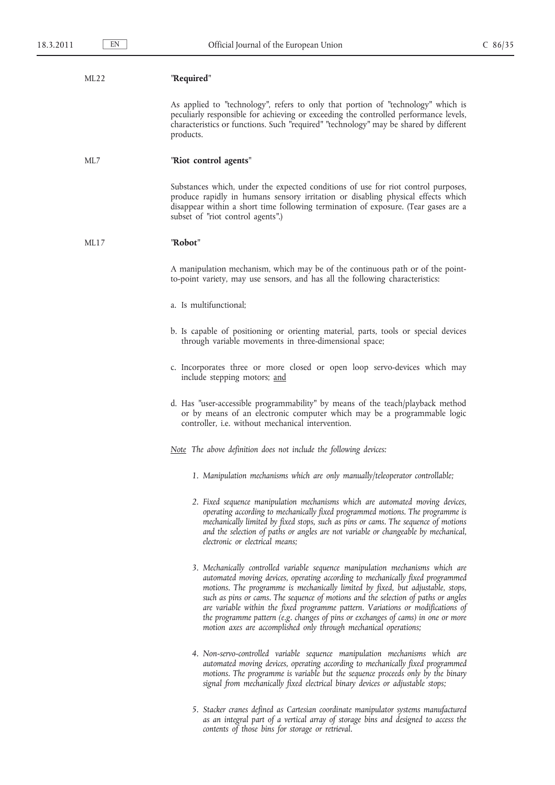## ML22 **″Required ″**

As applied to "technology", refers to only that portion of "technology" which is peculiarly responsible for achieving or exceeding the controlled performance levels, characteristics or functions. Such "required" "technology" may be shared by different products.

# ML7 **″Riot control agents ″**

Substances which, under the expected conditions of use for riot control purposes, produce rapidly in humans sensory irritation or disabling physical effects which disappear within a short time following termination of exposure. (Tear gases are a subset of "riot control agents".)

#### ML17 **″Robot ″**

A manipulation mechanism, which may be of the continuous path or of the pointto-point variety, may use sensors, and has all the following characteristics:

- a. Is multifunctional;
- b. Is capable of positioning or orienting material, parts, tools or special devices through variable movements in three-dimensional space;
- c. Incorporates three or more closed or open loop servo-devices which may include stepping motors; and
- d. Has "user-accessible programmability" by means of the teach/playback method or by means of an electronic computer which may be a programmable logic controller, i.e. without mechanical intervention.

*Note The above definition does not include the following devices:*

- *1. Manipulation mechanisms which are only manually/teleoperator controllable;*
- *2. Fixed sequence manipulation mechanisms which are automated moving devices, operating according to mechanically fixed programmed motions. The programme is mechanically limited by fixed stops, such as pins or cams. The sequence of motions and the selection of paths or angles are not variable or changeable by mechanical, electronic or electrical means;*
- *3. Mechanically controlled variable sequence manipulation mechanisms which are automated moving devices, operating according to mechanically fixed programmed*  motions. The programme is mechanically limited by fixed, but adjustable, stops, *such as pins or cams. The sequence of motions and the selection of paths or angles are variable within the fixed programme pattern. Variations or modifications of the programme pattern (e.g. changes of pins or exchanges of cams) in one or more motion axes are accomplished only through mechanical operations;*
- *4. Non-servo-controlled variable sequence manipulation mechanisms which are automated moving devices, operating according to mechanically fixed programmed*  motions. The programme is variable but the sequence proceeds only by the binary *signal from mechanically fixed electrical binary devices or adjustable stops;*
- *5. Stacker cranes defined as Cartesian coordinate manipulator systems manufactured as an integral part of a vertical array of storage bins and designed to access the contents of those bins for storage or retrieval.*